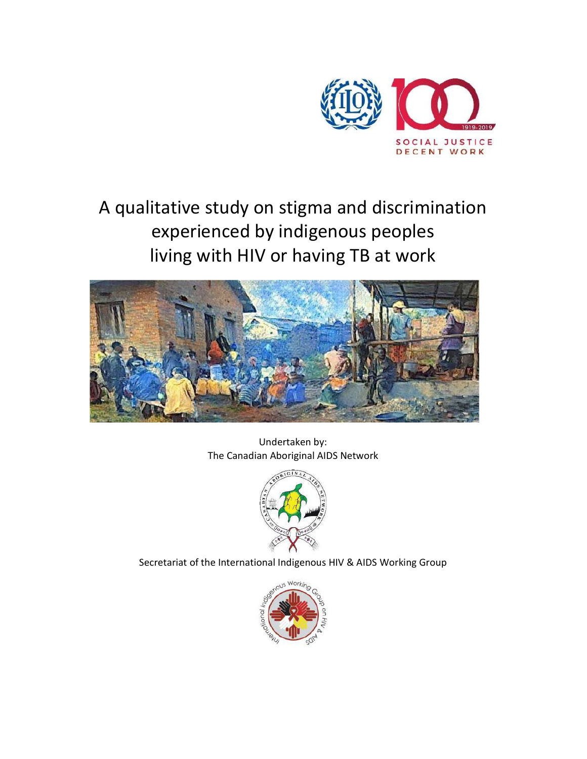

# A qualitative study on stigma and discrimination experienced by indigenous peoples living with HIV or having TB at work



Undertaken by: The Canadian Aboriginal AIDS Network



Secretariat of the International Indigenous HIV & AIDS Working Group

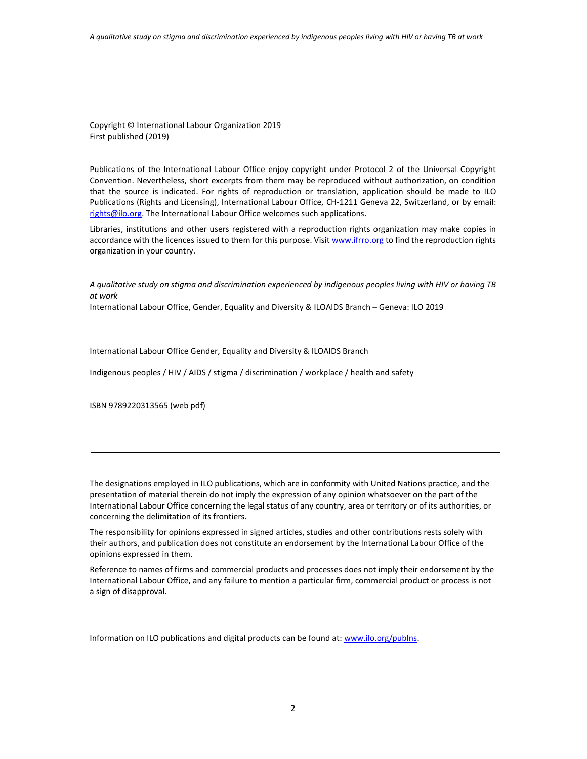Copyright © International Labour Organization 2019 First published (2019)

Publications of the International Labour Office enjoy copyright under Protocol 2 of the Universal Copyright Convention. Nevertheless, short excerpts from them may be reproduced without authorization, on condition that the source is indicated. For rights of reproduction or translation, application should be made to ILO Publications (Rights and Licensing), International Labour Office, CH-1211 Geneva 22, Switzerland, or by email: rights@ilo.org. The International Labour Office welcomes such applications.

Libraries, institutions and other users registered with a reproduction rights organization may make copies in accordance with the licences issued to them for this purpose. Visit www.ifrro.org to find the reproduction rights organization in your country.

A qualitative study on stigma and discrimination experienced by indigenous peoples living with HIV or having TB at work

International Labour Office, Gender, Equality and Diversity & ILOAIDS Branch – Geneva: ILO 2019

International Labour Office Gender, Equality and Diversity & ILOAIDS Branch

Indigenous peoples / HIV / AIDS / stigma / discrimination / workplace / health and safety

ISBN 9789220313565 (web pdf)

The designations employed in ILO publications, which are in conformity with United Nations practice, and the presentation of material therein do not imply the expression of any opinion whatsoever on the part of the International Labour Office concerning the legal status of any country, area or territory or of its authorities, or concerning the delimitation of its frontiers.

The responsibility for opinions expressed in signed articles, studies and other contributions rests solely with their authors, and publication does not constitute an endorsement by the International Labour Office of the opinions expressed in them.

Reference to names of firms and commercial products and processes does not imply their endorsement by the International Labour Office, and any failure to mention a particular firm, commercial product or process is not a sign of disapproval.

Information on ILO publications and digital products can be found at: www.ilo.org/publns.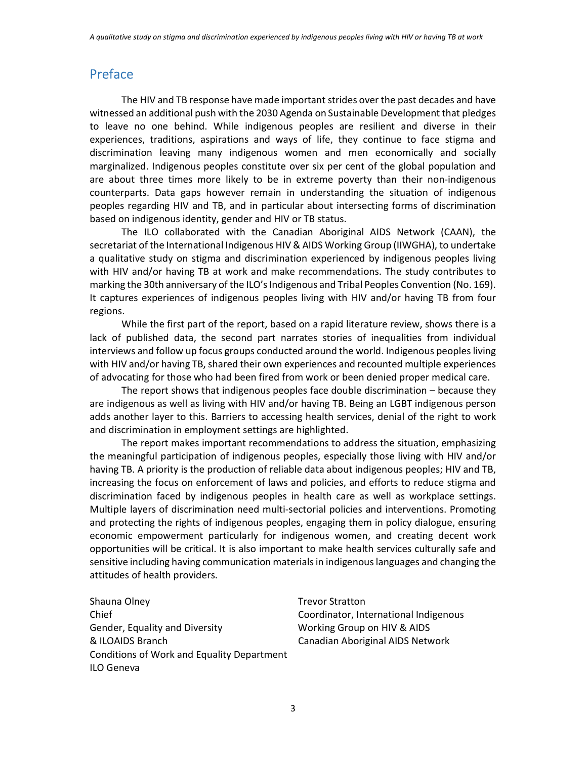### Preface

The HIV and TB response have made important strides over the past decades and have witnessed an additional push with the 2030 Agenda on Sustainable Development that pledges to leave no one behind. While indigenous peoples are resilient and diverse in their experiences, traditions, aspirations and ways of life, they continue to face stigma and discrimination leaving many indigenous women and men economically and socially marginalized. Indigenous peoples constitute over six per cent of the global population and are about three times more likely to be in extreme poverty than their non-indigenous counterparts. Data gaps however remain in understanding the situation of indigenous peoples regarding HIV and TB, and in particular about intersecting forms of discrimination based on indigenous identity, gender and HIV or TB status.

The ILO collaborated with the Canadian Aboriginal AIDS Network (CAAN), the secretariat of the International Indigenous HIV & AIDS Working Group (IIWGHA), to undertake a qualitative study on stigma and discrimination experienced by indigenous peoples living with HIV and/or having TB at work and make recommendations. The study contributes to marking the 30th anniversary of the ILO's Indigenous and Tribal Peoples Convention (No. 169). It captures experiences of indigenous peoples living with HIV and/or having TB from four regions.

While the first part of the report, based on a rapid literature review, shows there is a lack of published data, the second part narrates stories of inequalities from individual interviews and follow up focus groups conducted around the world. Indigenous peoples living with HIV and/or having TB, shared their own experiences and recounted multiple experiences of advocating for those who had been fired from work or been denied proper medical care.

The report shows that indigenous peoples face double discrimination – because they are indigenous as well as living with HIV and/or having TB. Being an LGBT indigenous person adds another layer to this. Barriers to accessing health services, denial of the right to work and discrimination in employment settings are highlighted.

The report makes important recommendations to address the situation, emphasizing the meaningful participation of indigenous peoples, especially those living with HIV and/or having TB. A priority is the production of reliable data about indigenous peoples; HIV and TB, increasing the focus on enforcement of laws and policies, and efforts to reduce stigma and discrimination faced by indigenous peoples in health care as well as workplace settings. Multiple layers of discrimination need multi-sectorial policies and interventions. Promoting and protecting the rights of indigenous peoples, engaging them in policy dialogue, ensuring economic empowerment particularly for indigenous women, and creating decent work opportunities will be critical. It is also important to make health services culturally safe and sensitive including having communication materials in indigenous languages and changing the attitudes of health providers.

Shauna Olney Trevor Stratton Chief Coordinator, International Indigenous Gender, Equality and Diversity **Working Group on HIV & AIDS** & ILOAIDS Branch Canadian Aboriginal AIDS Network Conditions of Work and Equality Department ILO Geneva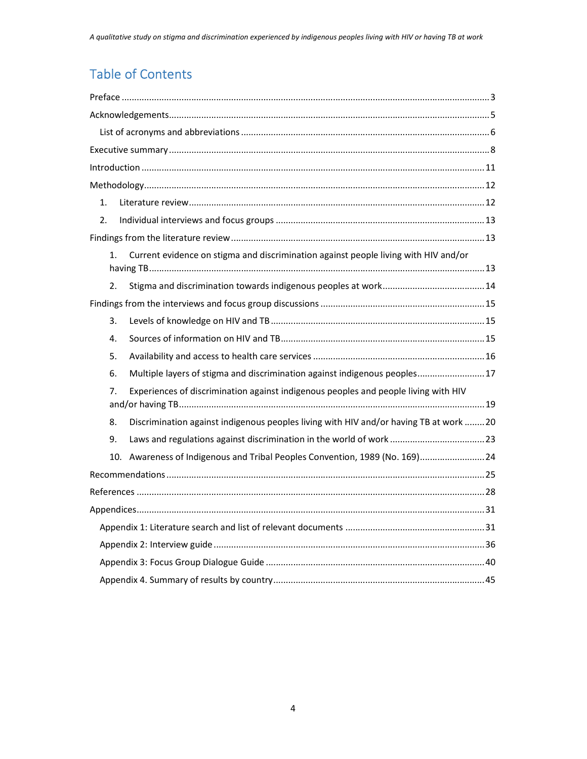## Table of Contents

| 1.                                                                                           |  |  |  |  |  |  |
|----------------------------------------------------------------------------------------------|--|--|--|--|--|--|
| 2.                                                                                           |  |  |  |  |  |  |
|                                                                                              |  |  |  |  |  |  |
| Current evidence on stigma and discrimination against people living with HIV and/or<br>1.    |  |  |  |  |  |  |
|                                                                                              |  |  |  |  |  |  |
| 2.                                                                                           |  |  |  |  |  |  |
|                                                                                              |  |  |  |  |  |  |
| 3.                                                                                           |  |  |  |  |  |  |
| 4.                                                                                           |  |  |  |  |  |  |
| 5.                                                                                           |  |  |  |  |  |  |
| Multiple layers of stigma and discrimination against indigenous peoples 17<br>6.             |  |  |  |  |  |  |
| Experiences of discrimination against indigenous peoples and people living with HIV<br>7.    |  |  |  |  |  |  |
| Discrimination against indigenous peoples living with HIV and/or having TB at work  20<br>8. |  |  |  |  |  |  |
| 9.                                                                                           |  |  |  |  |  |  |
| 10. Awareness of Indigenous and Tribal Peoples Convention, 1989 (No. 169)24                  |  |  |  |  |  |  |
|                                                                                              |  |  |  |  |  |  |
|                                                                                              |  |  |  |  |  |  |
|                                                                                              |  |  |  |  |  |  |
|                                                                                              |  |  |  |  |  |  |
|                                                                                              |  |  |  |  |  |  |
|                                                                                              |  |  |  |  |  |  |
|                                                                                              |  |  |  |  |  |  |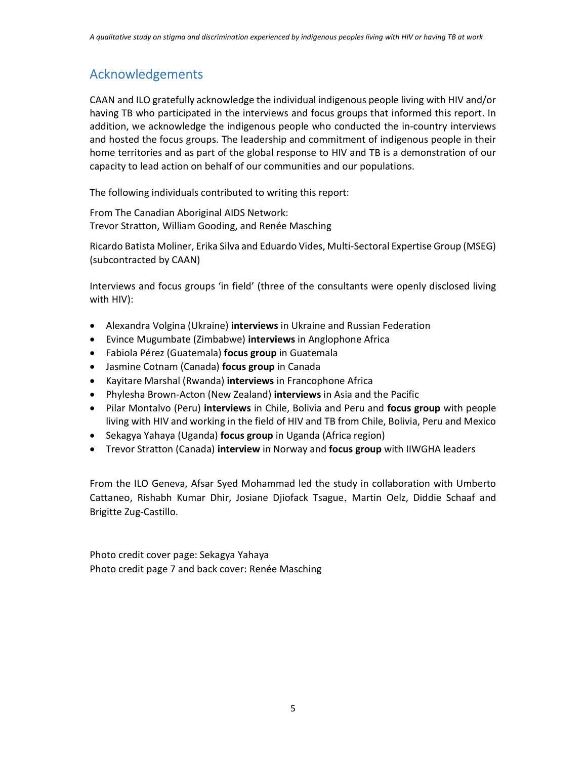## Acknowledgements

CAAN and ILO gratefully acknowledge the individual indigenous people living with HIV and/or having TB who participated in the interviews and focus groups that informed this report. In addition, we acknowledge the indigenous people who conducted the in-country interviews and hosted the focus groups. The leadership and commitment of indigenous people in their home territories and as part of the global response to HIV and TB is a demonstration of our capacity to lead action on behalf of our communities and our populations.

The following individuals contributed to writing this report:

From The Canadian Aboriginal AIDS Network: Trevor Stratton, William Gooding, and Renée Masching

Ricardo Batista Moliner, Erika Silva and Eduardo Vides, Multi-Sectoral Expertise Group (MSEG) (subcontracted by CAAN)

Interviews and focus groups 'in field' (three of the consultants were openly disclosed living with HIV):

- Alexandra Volgina (Ukraine) interviews in Ukraine and Russian Federation
- Evince Mugumbate (Zimbabwe) interviews in Anglophone Africa
- Fabiola Pérez (Guatemala) focus group in Guatemala
- Jasmine Cotnam (Canada) focus group in Canada
- Kayitare Marshal (Rwanda) interviews in Francophone Africa
- Phylesha Brown-Acton (New Zealand) interviews in Asia and the Pacific
- Pilar Montalvo (Peru) interviews in Chile, Bolivia and Peru and focus group with people living with HIV and working in the field of HIV and TB from Chile, Bolivia, Peru and Mexico
- Sekagya Yahaya (Uganda) **focus group** in Uganda (Africa region)
- Trevor Stratton (Canada) interview in Norway and focus group with IIWGHA leaders

From the ILO Geneva, Afsar Syed Mohammad led the study in collaboration with Umberto Cattaneo, Rishabh Kumar Dhir, Josiane Djiofack Tsague, Martin Oelz, Diddie Schaaf and Brigitte Zug-Castillo.

Photo credit cover page: Sekagya Yahaya Photo credit page 7 and back cover: Renée Masching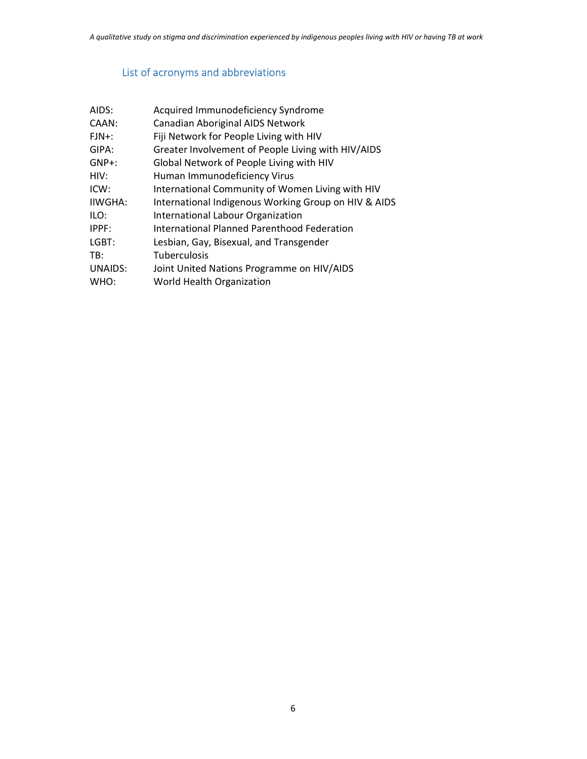## List of acronyms and abbreviations

| Acquired Immunodeficiency Syndrome                   |
|------------------------------------------------------|
| Canadian Aboriginal AIDS Network                     |
| Fiji Network for People Living with HIV              |
| Greater Involvement of People Living with HIV/AIDS   |
| Global Network of People Living with HIV             |
| Human Immunodeficiency Virus                         |
| International Community of Women Living with HIV     |
| International Indigenous Working Group on HIV & AIDS |
| International Labour Organization                    |
| <b>International Planned Parenthood Federation</b>   |
| Lesbian, Gay, Bisexual, and Transgender              |
| Tuberculosis                                         |
| Joint United Nations Programme on HIV/AIDS           |
| World Health Organization                            |
|                                                      |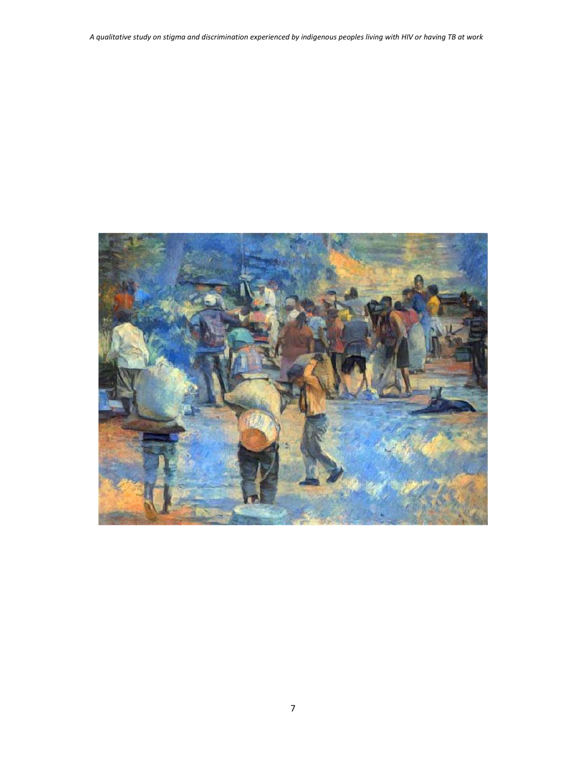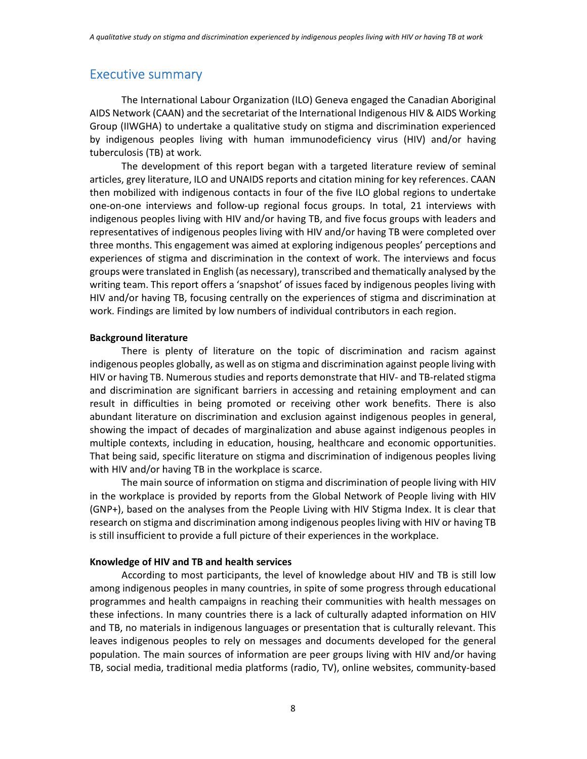### Executive summary

The International Labour Organization (ILO) Geneva engaged the Canadian Aboriginal AIDS Network (CAAN) and the secretariat of the International Indigenous HIV & AIDS Working Group (IIWGHA) to undertake a qualitative study on stigma and discrimination experienced by indigenous peoples living with human immunodeficiency virus (HIV) and/or having tuberculosis (TB) at work.

The development of this report began with a targeted literature review of seminal articles, grey literature, ILO and UNAIDS reports and citation mining for key references. CAAN then mobilized with indigenous contacts in four of the five ILO global regions to undertake one-on-one interviews and follow-up regional focus groups. In total, 21 interviews with indigenous peoples living with HIV and/or having TB, and five focus groups with leaders and representatives of indigenous peoples living with HIV and/or having TB were completed over three months. This engagement was aimed at exploring indigenous peoples' perceptions and experiences of stigma and discrimination in the context of work. The interviews and focus groups were translated in English (as necessary), transcribed and thematically analysed by the writing team. This report offers a 'snapshot' of issues faced by indigenous peoples living with HIV and/or having TB, focusing centrally on the experiences of stigma and discrimination at work. Findings are limited by low numbers of individual contributors in each region.

#### Background literature

There is plenty of literature on the topic of discrimination and racism against indigenous peoples globally, as well as on stigma and discrimination against people living with HIV or having TB. Numerous studies and reports demonstrate that HIV- and TB-related stigma and discrimination are significant barriers in accessing and retaining employment and can result in difficulties in being promoted or receiving other work benefits. There is also abundant literature on discrimination and exclusion against indigenous peoples in general, showing the impact of decades of marginalization and abuse against indigenous peoples in multiple contexts, including in education, housing, healthcare and economic opportunities. That being said, specific literature on stigma and discrimination of indigenous peoples living with HIV and/or having TB in the workplace is scarce.

The main source of information on stigma and discrimination of people living with HIV in the workplace is provided by reports from the Global Network of People living with HIV (GNP+), based on the analyses from the People Living with HIV Stigma Index. It is clear that research on stigma and discrimination among indigenous peoples living with HIV or having TB is still insufficient to provide a full picture of their experiences in the workplace.

#### Knowledge of HIV and TB and health services

According to most participants, the level of knowledge about HIV and TB is still low among indigenous peoples in many countries, in spite of some progress through educational programmes and health campaigns in reaching their communities with health messages on these infections. In many countries there is a lack of culturally adapted information on HIV and TB, no materials in indigenous languages or presentation that is culturally relevant. This leaves indigenous peoples to rely on messages and documents developed for the general population. The main sources of information are peer groups living with HIV and/or having TB, social media, traditional media platforms (radio, TV), online websites, community-based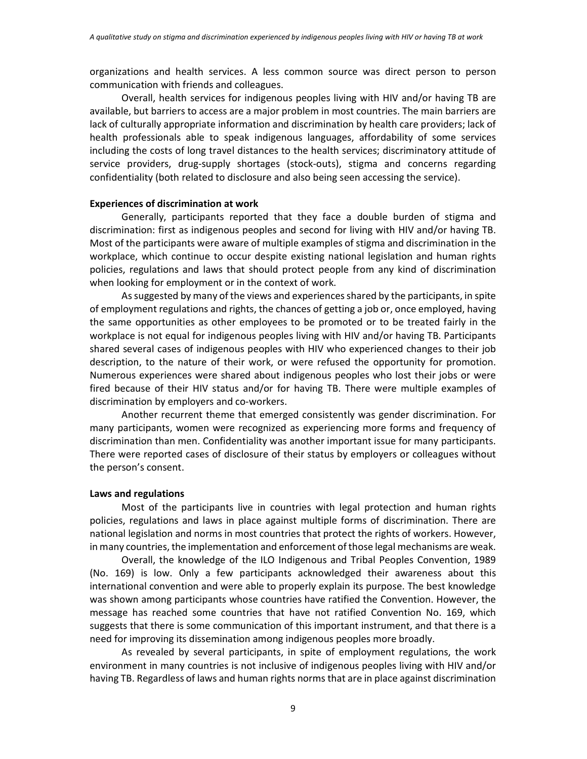organizations and health services. A less common source was direct person to person communication with friends and colleagues.

Overall, health services for indigenous peoples living with HIV and/or having TB are available, but barriers to access are a major problem in most countries. The main barriers are lack of culturally appropriate information and discrimination by health care providers; lack of health professionals able to speak indigenous languages, affordability of some services including the costs of long travel distances to the health services; discriminatory attitude of service providers, drug-supply shortages (stock-outs), stigma and concerns regarding confidentiality (both related to disclosure and also being seen accessing the service).

#### Experiences of discrimination at work

Generally, participants reported that they face a double burden of stigma and discrimination: first as indigenous peoples and second for living with HIV and/or having TB. Most of the participants were aware of multiple examples of stigma and discrimination in the workplace, which continue to occur despite existing national legislation and human rights policies, regulations and laws that should protect people from any kind of discrimination when looking for employment or in the context of work.

As suggested by many of the views and experiences shared by the participants, in spite of employment regulations and rights, the chances of getting a job or, once employed, having the same opportunities as other employees to be promoted or to be treated fairly in the workplace is not equal for indigenous peoples living with HIV and/or having TB. Participants shared several cases of indigenous peoples with HIV who experienced changes to their job description, to the nature of their work, or were refused the opportunity for promotion. Numerous experiences were shared about indigenous peoples who lost their jobs or were fired because of their HIV status and/or for having TB. There were multiple examples of discrimination by employers and co-workers.

Another recurrent theme that emerged consistently was gender discrimination. For many participants, women were recognized as experiencing more forms and frequency of discrimination than men. Confidentiality was another important issue for many participants. There were reported cases of disclosure of their status by employers or colleagues without the person's consent.

#### Laws and regulations

Most of the participants live in countries with legal protection and human rights policies, regulations and laws in place against multiple forms of discrimination. There are national legislation and norms in most countries that protect the rights of workers. However, in many countries, the implementation and enforcement of those legal mechanisms are weak.

Overall, the knowledge of the ILO Indigenous and Tribal Peoples Convention, 1989 (No. 169) is low. Only a few participants acknowledged their awareness about this international convention and were able to properly explain its purpose. The best knowledge was shown among participants whose countries have ratified the Convention. However, the message has reached some countries that have not ratified Convention No. 169, which suggests that there is some communication of this important instrument, and that there is a need for improving its dissemination among indigenous peoples more broadly.

As revealed by several participants, in spite of employment regulations, the work environment in many countries is not inclusive of indigenous peoples living with HIV and/or having TB. Regardless of laws and human rights norms that are in place against discrimination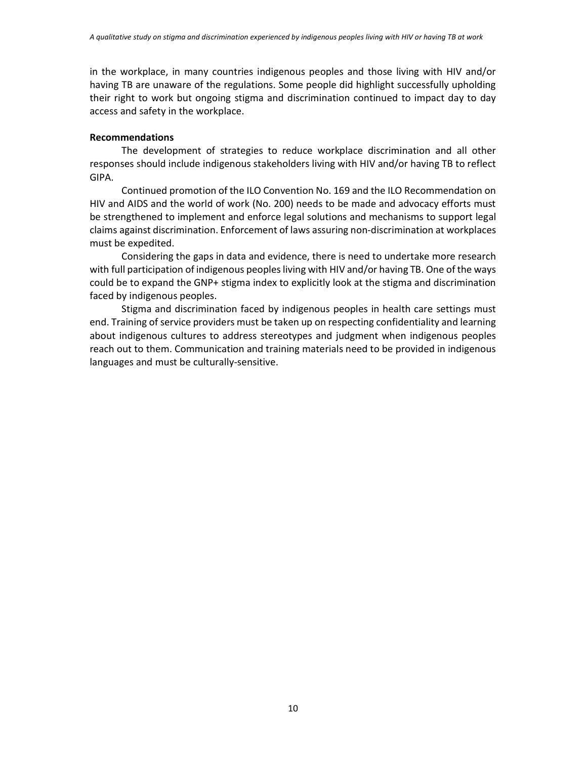in the workplace, in many countries indigenous peoples and those living with HIV and/or having TB are unaware of the regulations. Some people did highlight successfully upholding their right to work but ongoing stigma and discrimination continued to impact day to day access and safety in the workplace.

#### Recommendations

The development of strategies to reduce workplace discrimination and all other responses should include indigenous stakeholders living with HIV and/or having TB to reflect GIPA.

Continued promotion of the ILO Convention No. 169 and the ILO Recommendation on HIV and AIDS and the world of work (No. 200) needs to be made and advocacy efforts must be strengthened to implement and enforce legal solutions and mechanisms to support legal claims against discrimination. Enforcement of laws assuring non-discrimination at workplaces must be expedited.

Considering the gaps in data and evidence, there is need to undertake more research with full participation of indigenous peoples living with HIV and/or having TB. One of the ways could be to expand the GNP+ stigma index to explicitly look at the stigma and discrimination faced by indigenous peoples.

Stigma and discrimination faced by indigenous peoples in health care settings must end. Training of service providers must be taken up on respecting confidentiality and learning about indigenous cultures to address stereotypes and judgment when indigenous peoples reach out to them. Communication and training materials need to be provided in indigenous languages and must be culturally-sensitive.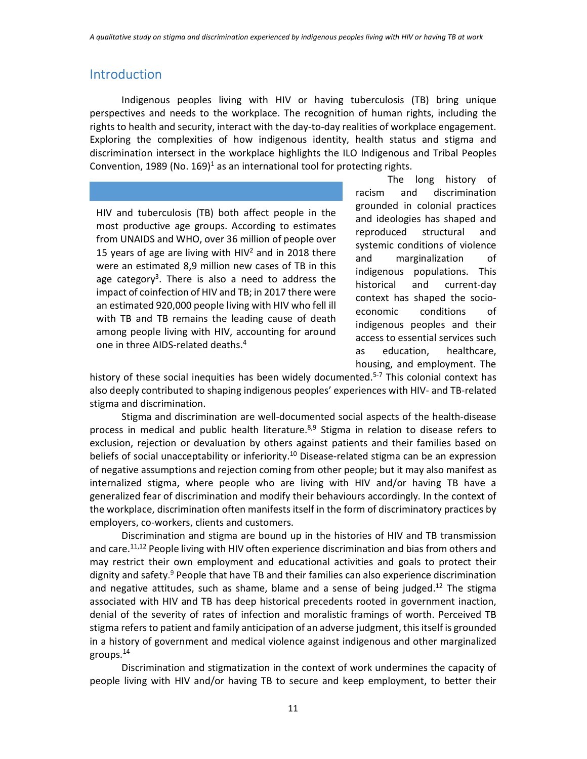### Introduction

Indigenous peoples living with HIV or having tuberculosis (TB) bring unique perspectives and needs to the workplace. The recognition of human rights, including the rights to health and security, interact with the day-to-day realities of workplace engagement. Exploring the complexities of how indigenous identity, health status and stigma and discrimination intersect in the workplace highlights the ILO Indigenous and Tribal Peoples Convention, 1989 (No. 169)<sup>1</sup> as an international tool for protecting rights.

HIV and tuberculosis (TB) both affect people in the most productive age groups. According to estimates from UNAIDS and WHO, over 36 million of people over 15 years of age are living with HIV<sup>2</sup> and in 2018 there  $\frac{3}{2}$ were an estimated 8,9 million new cases of TB in this age category<sup>3</sup>. There is also a need to address the  $\frac{m}{\text{hictrical}}$ impact of coinfection of HIV and TB; in 2017 there were an estimated 920,000 people living with HIV who fell ill with TB and TB remains the leading cause of death among people living with HIV, accounting for around one in three AIDS-related deaths.<sup>4</sup>

The long history of racism and discrimination grounded in colonial practices and ideologies has shaped and reproduced structural and systemic conditions of violence and marginalization of indigenous populations. This historical and current-day context has shaped the socioeconomic conditions of indigenous peoples and their access to essential services such as education, healthcare, housing, and employment. The

history of these social inequities has been widely documented.<sup>5-7</sup> This colonial context has also deeply contributed to shaping indigenous peoples' experiences with HIV- and TB-related stigma and discrimination.

 Stigma and discrimination are well-documented social aspects of the health-disease process in medical and public health literature. $8,9$  Stigma in relation to disease refers to exclusion, rejection or devaluation by others against patients and their families based on beliefs of social unacceptability or inferiority.<sup>10</sup> Disease-related stigma can be an expression of negative assumptions and rejection coming from other people; but it may also manifest as internalized stigma, where people who are living with HIV and/or having TB have a generalized fear of discrimination and modify their behaviours accordingly. In the context of the workplace, discrimination often manifests itself in the form of discriminatory practices by employers, co-workers, clients and customers.

Discrimination and stigma are bound up in the histories of HIV and TB transmission and care.<sup>11,12</sup> People living with HIV often experience discrimination and bias from others and may restrict their own employment and educational activities and goals to protect their dignity and safety. <sup>9</sup> People that have TB and their families can also experience discrimination and negative attitudes, such as shame, blame and a sense of being judged.<sup>12</sup> The stigma associated with HIV and TB has deep historical precedents rooted in government inaction, denial of the severity of rates of infection and moralistic framings of worth. Perceived TB stigma refers to patient and family anticipation of an adverse judgment, this itself is grounded in a history of government and medical violence against indigenous and other marginalized groups.<sup>14</sup>

Discrimination and stigmatization in the context of work undermines the capacity of people living with HIV and/or having TB to secure and keep employment, to better their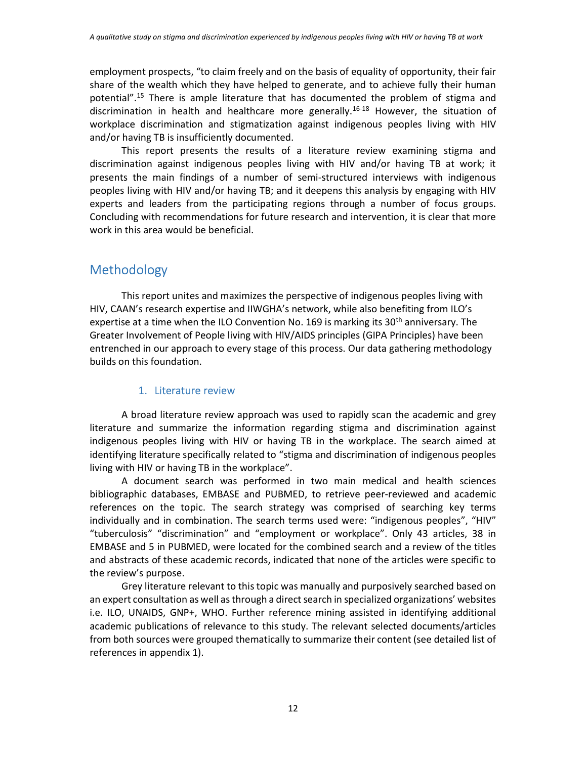employment prospects, "to claim freely and on the basis of equality of opportunity, their fair share of the wealth which they have helped to generate, and to achieve fully their human potential".<sup>15</sup> There is ample literature that has documented the problem of stigma and discrimination in health and healthcare more generally.<sup>16-18</sup> However, the situation of workplace discrimination and stigmatization against indigenous peoples living with HIV and/or having TB is insufficiently documented.

 This report presents the results of a literature review examining stigma and discrimination against indigenous peoples living with HIV and/or having TB at work; it presents the main findings of a number of semi-structured interviews with indigenous peoples living with HIV and/or having TB; and it deepens this analysis by engaging with HIV experts and leaders from the participating regions through a number of focus groups. Concluding with recommendations for future research and intervention, it is clear that more work in this area would be beneficial.

### Methodology

This report unites and maximizes the perspective of indigenous peoples living with HIV, CAAN's research expertise and IIWGHA's network, while also benefiting from ILO's expertise at a time when the ILO Convention No. 169 is marking its  $30<sup>th</sup>$  anniversary. The Greater Involvement of People living with HIV/AIDS principles (GIPA Principles) have been entrenched in our approach to every stage of this process. Our data gathering methodology builds on this foundation.

### 1. Literature review

A broad literature review approach was used to rapidly scan the academic and grey literature and summarize the information regarding stigma and discrimination against indigenous peoples living with HIV or having TB in the workplace. The search aimed at identifying literature specifically related to "stigma and discrimination of indigenous peoples living with HIV or having TB in the workplace".

A document search was performed in two main medical and health sciences bibliographic databases, EMBASE and PUBMED, to retrieve peer-reviewed and academic references on the topic. The search strategy was comprised of searching key terms individually and in combination. The search terms used were: "indigenous peoples", "HIV" "tuberculosis" "discrimination" and "employment or workplace". Only 43 articles, 38 in EMBASE and 5 in PUBMED, were located for the combined search and a review of the titles and abstracts of these academic records, indicated that none of the articles were specific to the review's purpose.

Grey literature relevant to this topic was manually and purposively searched based on an expert consultation as well as through a direct search in specialized organizations' websites i.e. ILO, UNAIDS, GNP+, WHO. Further reference mining assisted in identifying additional academic publications of relevance to this study. The relevant selected documents/articles from both sources were grouped thematically to summarize their content (see detailed list of references in appendix 1).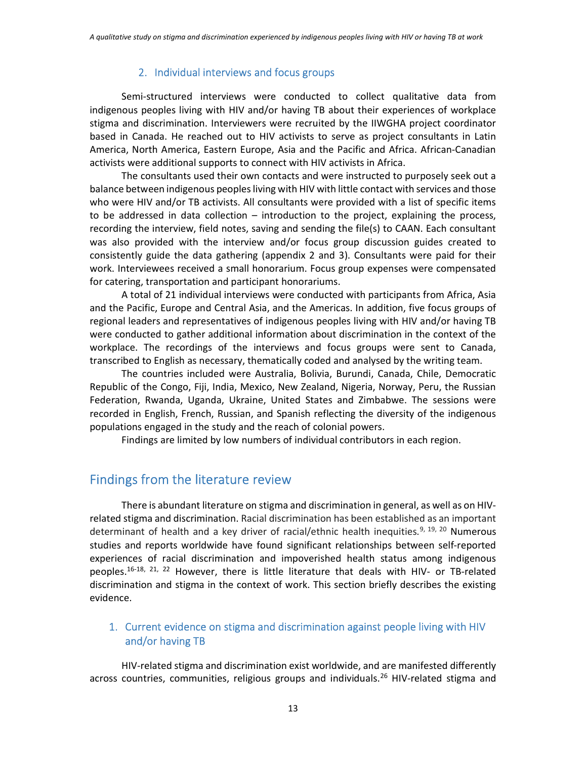### 2. Individual interviews and focus groups

Semi-structured interviews were conducted to collect qualitative data from indigenous peoples living with HIV and/or having TB about their experiences of workplace stigma and discrimination. Interviewers were recruited by the IIWGHA project coordinator based in Canada. He reached out to HIV activists to serve as project consultants in Latin America, North America, Eastern Europe, Asia and the Pacific and Africa. African-Canadian activists were additional supports to connect with HIV activists in Africa.

The consultants used their own contacts and were instructed to purposely seek out a balance between indigenous peoples living with HIV with little contact with services and those who were HIV and/or TB activists. All consultants were provided with a list of specific items to be addressed in data collection – introduction to the project, explaining the process, recording the interview, field notes, saving and sending the file(s) to CAAN. Each consultant was also provided with the interview and/or focus group discussion guides created to consistently guide the data gathering (appendix 2 and 3). Consultants were paid for their work. Interviewees received a small honorarium. Focus group expenses were compensated for catering, transportation and participant honorariums.

A total of 21 individual interviews were conducted with participants from Africa, Asia and the Pacific, Europe and Central Asia, and the Americas. In addition, five focus groups of regional leaders and representatives of indigenous peoples living with HIV and/or having TB were conducted to gather additional information about discrimination in the context of the workplace. The recordings of the interviews and focus groups were sent to Canada, transcribed to English as necessary, thematically coded and analysed by the writing team.

The countries included were Australia, Bolivia, Burundi, Canada, Chile, Democratic Republic of the Congo, Fiji, India, Mexico, New Zealand, Nigeria, Norway, Peru, the Russian Federation, Rwanda, Uganda, Ukraine, United States and Zimbabwe. The sessions were recorded in English, French, Russian, and Spanish reflecting the diversity of the indigenous populations engaged in the study and the reach of colonial powers.

Findings are limited by low numbers of individual contributors in each region.

### Findings from the literature review

There is abundant literature on stigma and discrimination in general, as well as on HIVrelated stigma and discrimination. Racial discrimination has been established as an important determinant of health and a key driver of racial/ethnic health inequities.<sup>9, 19, 20</sup> Numerous studies and reports worldwide have found significant relationships between self-reported experiences of racial discrimination and impoverished health status among indigenous peoples.16-18, 21, 22 However, there is little literature that deals with HIV- or TB-related discrimination and stigma in the context of work. This section briefly describes the existing evidence.

### 1. Current evidence on stigma and discrimination against people living with HIV and/or having TB

HIV-related stigma and discrimination exist worldwide, and are manifested differently across countries, communities, religious groups and individuals.<sup>26</sup> HIV-related stigma and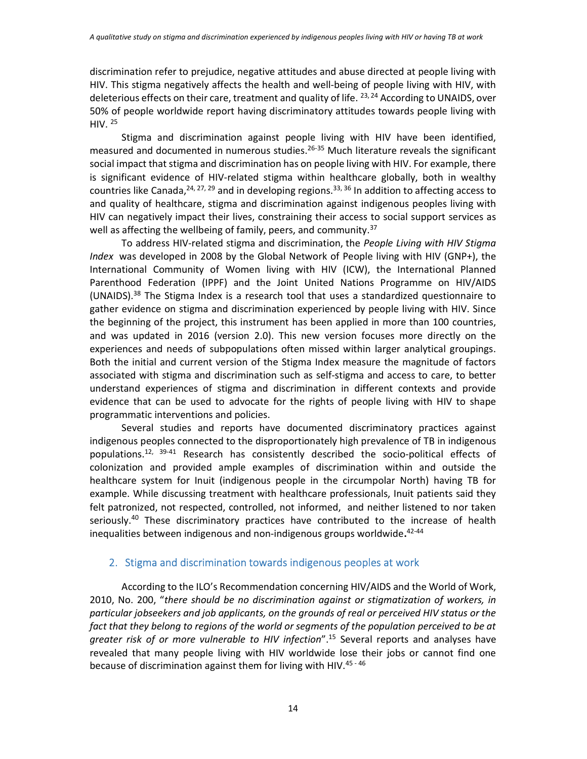discrimination refer to prejudice, negative attitudes and abuse directed at people living with HIV. This stigma negatively affects the health and well-being of people living with HIV, with deleterious effects on their care, treatment and quality of life.  $^{23,24}$  According to UNAIDS, over 50% of people worldwide report having discriminatory attitudes towards people living with HIV.  $25$ 

Stigma and discrimination against people living with HIV have been identified, measured and documented in numerous studies.<sup>26-35</sup> Much literature reveals the significant social impact that stigma and discrimination has on people living with HIV. For example, there is significant evidence of HIV-related stigma within healthcare globally, both in wealthy countries like Canada,  $24, 27, 29$  and in developing regions.  $33, 36$  In addition to affecting access to and quality of healthcare, stigma and discrimination against indigenous peoples living with HIV can negatively impact their lives, constraining their access to social support services as well as affecting the wellbeing of family, peers, and community.<sup>37</sup>

To address HIV-related stigma and discrimination, the People Living with HIV Stigma Index was developed in 2008 by the Global Network of People living with HIV (GNP+), the International Community of Women living with HIV (ICW), the International Planned Parenthood Federation (IPPF) and the Joint United Nations Programme on HIV/AIDS (UNAIDS). $38$  The Stigma Index is a research tool that uses a standardized questionnaire to gather evidence on stigma and discrimination experienced by people living with HIV. Since the beginning of the project, this instrument has been applied in more than 100 countries, and was updated in 2016 (version 2.0). This new version focuses more directly on the experiences and needs of subpopulations often missed within larger analytical groupings. Both the initial and current version of the Stigma Index measure the magnitude of factors associated with stigma and discrimination such as self-stigma and access to care, to better understand experiences of stigma and discrimination in different contexts and provide evidence that can be used to advocate for the rights of people living with HIV to shape programmatic interventions and policies.

Several studies and reports have documented discriminatory practices against indigenous peoples connected to the disproportionately high prevalence of TB in indigenous populations.<sup>12, 39-41</sup> Research has consistently described the socio-political effects of colonization and provided ample examples of discrimination within and outside the healthcare system for Inuit (indigenous people in the circumpolar North) having TB for example. While discussing treatment with healthcare professionals, Inuit patients said they felt patronized, not respected, controlled, not informed, and neither listened to nor taken seriously.<sup>40</sup> These discriminatory practices have contributed to the increase of health inequalities between indigenous and non-indigenous groups worldwide.<sup>42-44</sup>

### 2. Stigma and discrimination towards indigenous peoples at work

According to the ILO's Recommendation concerning HIV/AIDS and the World of Work, 2010, No. 200, "there should be no discrimination against or stigmatization of workers, in particular jobseekers and job applicants, on the grounds of real or perceived HIV status or the fact that they belong to regions of the world or segments of the population perceived to be at greater risk of or more vulnerable to HIV infection".<sup>15</sup> Several reports and analyses have revealed that many people living with HIV worldwide lose their jobs or cannot find one because of discrimination against them for living with HIV.<sup>45-46</sup>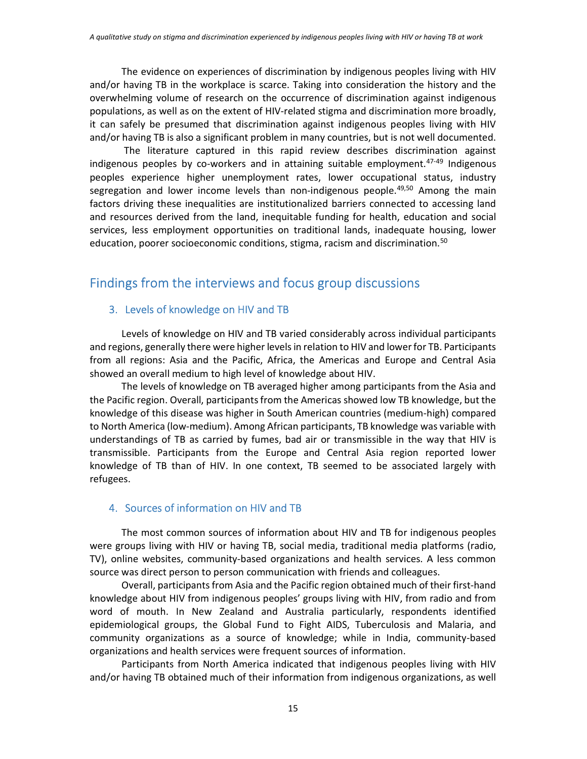The evidence on experiences of discrimination by indigenous peoples living with HIV and/or having TB in the workplace is scarce. Taking into consideration the history and the overwhelming volume of research on the occurrence of discrimination against indigenous populations, as well as on the extent of HIV-related stigma and discrimination more broadly, it can safely be presumed that discrimination against indigenous peoples living with HIV and/or having TB is also a significant problem in many countries, but is not well documented.

 The literature captured in this rapid review describes discrimination against indigenous peoples by co-workers and in attaining suitable employment.<sup>47-49</sup> Indigenous peoples experience higher unemployment rates, lower occupational status, industry segregation and lower income levels than non-indigenous people.<sup>49,50</sup> Among the main factors driving these inequalities are institutionalized barriers connected to accessing land and resources derived from the land, inequitable funding for health, education and social services, less employment opportunities on traditional lands, inadequate housing, lower education, poorer socioeconomic conditions, stigma, racism and discrimination.<sup>50</sup>

### Findings from the interviews and focus group discussions

#### 3. Levels of knowledge on HIV and TB

Levels of knowledge on HIV and TB varied considerably across individual participants and regions, generally there were higher levels in relation to HIV and lower for TB. Participants from all regions: Asia and the Pacific, Africa, the Americas and Europe and Central Asia showed an overall medium to high level of knowledge about HIV.

The levels of knowledge on TB averaged higher among participants from the Asia and the Pacific region. Overall, participants from the Americas showed low TB knowledge, but the knowledge of this disease was higher in South American countries (medium-high) compared to North America (low-medium). Among African participants, TB knowledge was variable with understandings of TB as carried by fumes, bad air or transmissible in the way that HIV is transmissible. Participants from the Europe and Central Asia region reported lower knowledge of TB than of HIV. In one context, TB seemed to be associated largely with refugees.

#### 4. Sources of information on HIV and TB

The most common sources of information about HIV and TB for indigenous peoples were groups living with HIV or having TB, social media, traditional media platforms (radio, TV), online websites, community-based organizations and health services. A less common source was direct person to person communication with friends and colleagues.

Overall, participants from Asia and the Pacific region obtained much of their first-hand knowledge about HIV from indigenous peoples' groups living with HIV, from radio and from word of mouth. In New Zealand and Australia particularly, respondents identified epidemiological groups, the Global Fund to Fight AIDS, Tuberculosis and Malaria, and community organizations as a source of knowledge; while in India, community-based organizations and health services were frequent sources of information.

Participants from North America indicated that indigenous peoples living with HIV and/or having TB obtained much of their information from indigenous organizations, as well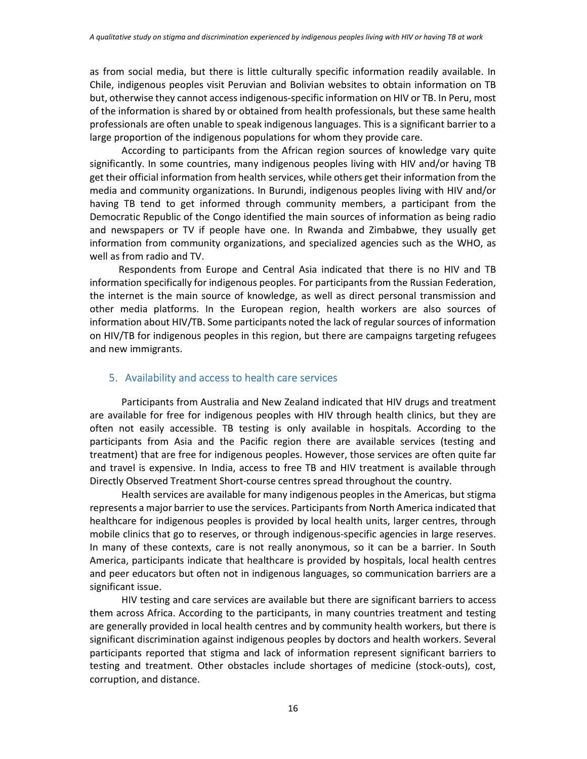as from social media, but there is little culturally specific information readily available. In Chile, indigenous peoples visit Peruvian and Bolivian websites to obtain information on TB but, otherwise they cannot access indigenous-specific information on HIV or TB. In Peru, most of the information is shared by or obtained from health professionals, but these same health professionals are often unable to speak indigenous languages. This is a significant barrier to a large proportion of the indigenous populations for whom they provide care.

According to participants from the African region sources of knowledge vary quite significantly. In some countries, many indigenous peoples living with HIV and/or having TB get their official information from health services, while others get their information from the media and community organizations. In Burundi, indigenous peoples living with HIV and/or having TB tend to get informed through community members, a participant from the Democratic Republic of the Congo identified the main sources of information as being radio and newspapers or TV if people have one. In Rwanda and Zimbabwe, they usually get information from community organizations, and specialized agencies such as the WHO, as well as from radio and TV.

Respondents from Europe and Central Asia indicated that there is no HIV and TB information specifically for indigenous peoples. For participants from the Russian Federation, the internet is the main source of knowledge, as well as direct personal transmission and other media platforms. In the European region, health workers are also sources of information about HIV/TB. Some participants noted the lack of regular sources of information on HIV/TB for indigenous peoples in this region, but there are campaigns targeting refugees and new immigrants.

#### 5. Availability and access to health care services

Participants from Australia and New Zealand indicated that HIV drugs and treatment are available for free for indigenous peoples with HIV through health clinics, but they are often not easily accessible. TB testing is only available in hospitals. According to the participants from Asia and the Pacific region there are available services (testing and treatment) that are free for indigenous peoples. However, those services are often quite far and travel is expensive. In India, access to free TB and HIV treatment is available through Directly Observed Treatment Short-course centres spread throughout the country.

Health services are available for many indigenous peoples in the Americas, but stigma represents a major barrier to use the services. Participants from North America indicated that healthcare for indigenous peoples is provided by local health units, larger centres, through mobile clinics that go to reserves, or through indigenous-specific agencies in large reserves. In many of these contexts, care is not really anonymous, so it can be a barrier. In South America, participants indicate that healthcare is provided by hospitals, local health centres and peer educators but often not in indigenous languages, so communication barriers are a significant issue.

HIV testing and care services are available but there are significant barriers to access them across Africa. According to the participants, in many countries treatment and testing are generally provided in local health centres and by community health workers, but there is significant discrimination against indigenous peoples by doctors and health workers. Several participants reported that stigma and lack of information represent significant barriers to testing and treatment. Other obstacles include shortages of medicine (stock-outs), cost, corruption, and distance.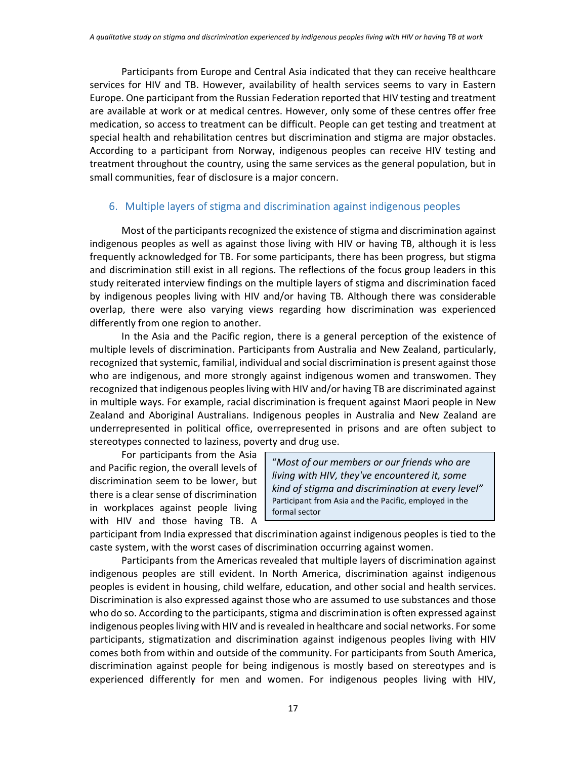Participants from Europe and Central Asia indicated that they can receive healthcare services for HIV and TB. However, availability of health services seems to vary in Eastern Europe. One participant from the Russian Federation reported that HIV testing and treatment are available at work or at medical centres. However, only some of these centres offer free medication, so access to treatment can be difficult. People can get testing and treatment at special health and rehabilitation centres but discrimination and stigma are major obstacles. According to a participant from Norway, indigenous peoples can receive HIV testing and treatment throughout the country, using the same services as the general population, but in small communities, fear of disclosure is a major concern.

#### 6. Multiple layers of stigma and discrimination against indigenous peoples

Most of the participants recognized the existence of stigma and discrimination against indigenous peoples as well as against those living with HIV or having TB, although it is less frequently acknowledged for TB. For some participants, there has been progress, but stigma and discrimination still exist in all regions. The reflections of the focus group leaders in this study reiterated interview findings on the multiple layers of stigma and discrimination faced by indigenous peoples living with HIV and/or having TB. Although there was considerable overlap, there were also varying views regarding how discrimination was experienced differently from one region to another.

In the Asia and the Pacific region, there is a general perception of the existence of multiple levels of discrimination. Participants from Australia and New Zealand, particularly, recognized that systemic, familial, individual and social discrimination is present against those who are indigenous, and more strongly against indigenous women and transwomen. They recognized that indigenous peoples living with HIV and/or having TB are discriminated against in multiple ways. For example, racial discrimination is frequent against Maori people in New Zealand and Aboriginal Australians. Indigenous peoples in Australia and New Zealand are underrepresented in political office, overrepresented in prisons and are often subject to stereotypes connected to laziness, poverty and drug use.

For participants from the Asia and Pacific region, the overall levels of discrimination seem to be lower, but there is a clear sense of discrimination in workplaces against people living with HIV and those having TB. A

"Most of our members or our friends who are living with HIV, they've encountered it, some kind of stigma and discrimination at every level" Participant from Asia and the Pacific, employed in the formal sector

participant from India expressed that discrimination against indigenous peoples is tied to the caste system, with the worst cases of discrimination occurring against women.

Participants from the Americas revealed that multiple layers of discrimination against indigenous peoples are still evident. In North America, discrimination against indigenous peoples is evident in housing, child welfare, education, and other social and health services. Discrimination is also expressed against those who are assumed to use substances and those who do so. According to the participants, stigma and discrimination is often expressed against indigenous peoples living with HIV and is revealed in healthcare and social networks. For some participants, stigmatization and discrimination against indigenous peoples living with HIV comes both from within and outside of the community. For participants from South America, discrimination against people for being indigenous is mostly based on stereotypes and is experienced differently for men and women. For indigenous peoples living with HIV,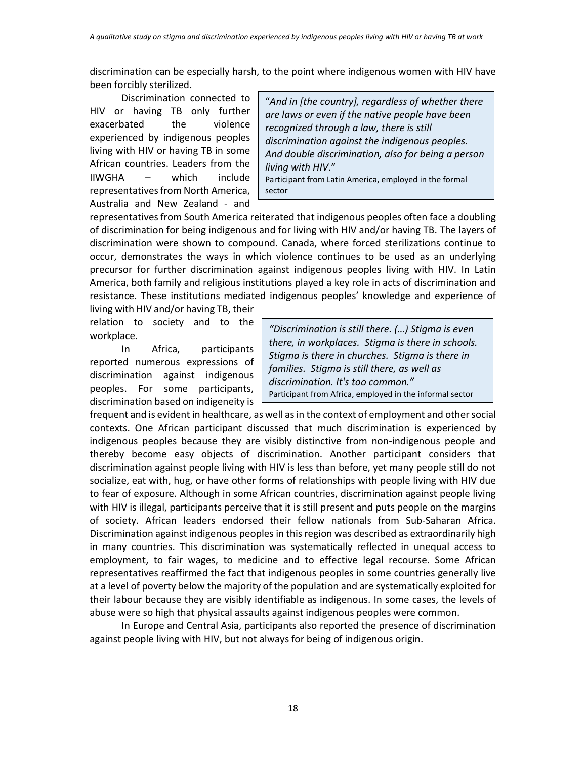discrimination can be especially harsh, to the point where indigenous women with HIV have been forcibly sterilized.

Discrimination connected to HIV or having TB only further exacerbated the violence experienced by indigenous peoples living with HIV or having TB in some African countries. Leaders from the IIWGHA – which include representatives from North America, Australia and New Zealand - and

"And in [the country], regardless of whether there are laws or even if the native people have been recognized through a law, there is still discrimination against the indigenous peoples. And double discrimination, also for being a person living with HIV." Participant from Latin America, employed in the formal sector

representatives from South America reiterated that indigenous peoples often face a doubling of discrimination for being indigenous and for living with HIV and/or having TB. The layers of discrimination were shown to compound. Canada, where forced sterilizations continue to occur, demonstrates the ways in which violence continues to be used as an underlying precursor for further discrimination against indigenous peoples living with HIV. In Latin America, both family and religious institutions played a key role in acts of discrimination and resistance. These institutions mediated indigenous peoples' knowledge and experience of living with HIV and/or having TB, their

relation to society and to the workplace.

In Africa, participants reported numerous expressions of discrimination against indigenous peoples. For some participants, discrimination based on indigeneity is

"Discrimination is still there. (…) Stigma is even there, in workplaces. Stigma is there in schools. Stigma is there in churches. Stigma is there in families. Stigma is still there, as well as discrimination. It's too common." Participant from Africa, employed in the informal sector

frequent and is evident in healthcare, as well as in the context of employment and other social contexts. One African participant discussed that much discrimination is experienced by indigenous peoples because they are visibly distinctive from non-indigenous people and thereby become easy objects of discrimination. Another participant considers that discrimination against people living with HIV is less than before, yet many people still do not socialize, eat with, hug, or have other forms of relationships with people living with HIV due to fear of exposure. Although in some African countries, discrimination against people living with HIV is illegal, participants perceive that it is still present and puts people on the margins of society. African leaders endorsed their fellow nationals from Sub-Saharan Africa. Discrimination against indigenous peoples in this region was described as extraordinarily high in many countries. This discrimination was systematically reflected in unequal access to employment, to fair wages, to medicine and to effective legal recourse. Some African representatives reaffirmed the fact that indigenous peoples in some countries generally live at a level of poverty below the majority of the population and are systematically exploited for their labour because they are visibly identifiable as indigenous. In some cases, the levels of abuse were so high that physical assaults against indigenous peoples were common.

In Europe and Central Asia, participants also reported the presence of discrimination against people living with HIV, but not always for being of indigenous origin.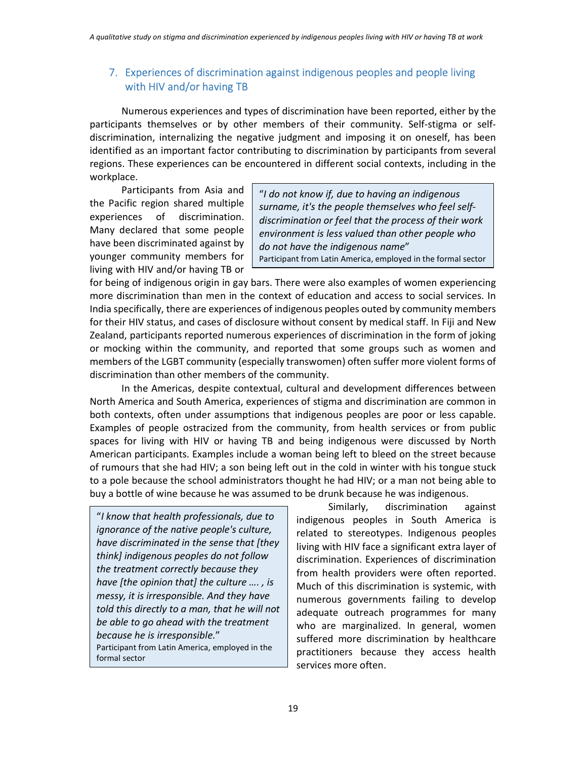### 7. Experiences of discrimination against indigenous peoples and people living with HIV and/or having TB

Numerous experiences and types of discrimination have been reported, either by the participants themselves or by other members of their community. Self-stigma or selfdiscrimination, internalizing the negative judgment and imposing it on oneself, has been identified as an important factor contributing to discrimination by participants from several regions. These experiences can be encountered in different social contexts, including in the workplace.

Participants from Asia and the Pacific region shared multiple experiences of discrimination. Many declared that some people have been discriminated against by younger community members for living with HIV and/or having TB or

"I do not know if, due to having an indigenous surname, it's the people themselves who feel selfdiscrimination or feel that the process of their work environment is less valued than other people who do not have the indigenous name" Participant from Latin America, employed in the formal sector

for being of indigenous origin in gay bars. There were also examples of women experiencing more discrimination than men in the context of education and access to social services. In India specifically, there are experiences of indigenous peoples outed by community members for their HIV status, and cases of disclosure without consent by medical staff. In Fiji and New Zealand, participants reported numerous experiences of discrimination in the form of joking or mocking within the community, and reported that some groups such as women and members of the LGBT community (especially transwomen) often suffer more violent forms of discrimination than other members of the community.

In the Americas, despite contextual, cultural and development differences between North America and South America, experiences of stigma and discrimination are common in both contexts, often under assumptions that indigenous peoples are poor or less capable. Examples of people ostracized from the community, from health services or from public spaces for living with HIV or having TB and being indigenous were discussed by North American participants. Examples include a woman being left to bleed on the street because of rumours that she had HIV; a son being left out in the cold in winter with his tongue stuck to a pole because the school administrators thought he had HIV; or a man not being able to buy a bottle of wine because he was assumed to be drunk because he was indigenous.

"I know that health professionals, due to ignorance of the native people's culture, have discriminated in the sense that [they think] indigenous peoples do not follow the treatment correctly because they have [the opinion that] the culture ...., is messy, it is irresponsible. And they have told this directly to a man, that he will not be able to go ahead with the treatment because he is irresponsible." Participant from Latin America, employed in the formal sector

Similarly, discrimination against indigenous peoples in South America is related to stereotypes. Indigenous peoples living with HIV face a significant extra layer of discrimination. Experiences of discrimination from health providers were often reported. Much of this discrimination is systemic, with numerous governments failing to develop adequate outreach programmes for many who are marginalized. In general, women suffered more discrimination by healthcare practitioners because they access health services more often.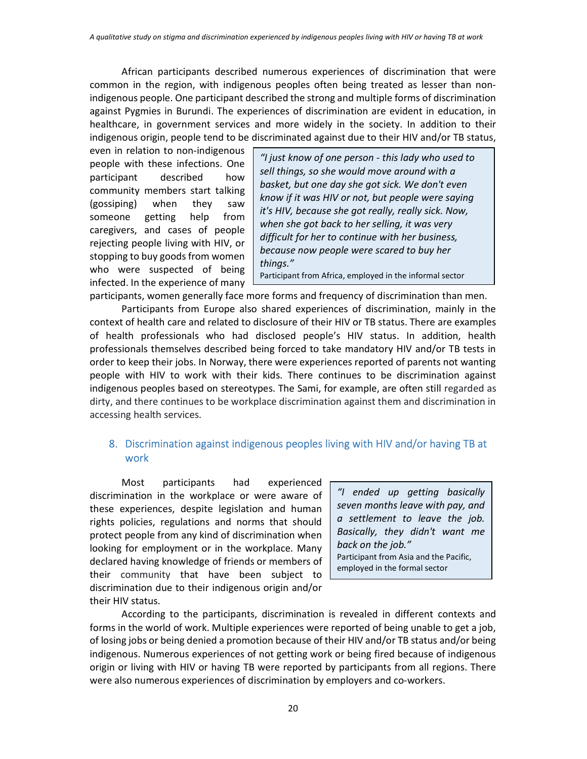African participants described numerous experiences of discrimination that were common in the region, with indigenous peoples often being treated as lesser than nonindigenous people. One participant described the strong and multiple forms of discrimination against Pygmies in Burundi. The experiences of discrimination are evident in education, in healthcare, in government services and more widely in the society. In addition to their indigenous origin, people tend to be discriminated against due to their HIV and/or TB status,

even in relation to non-indigenous people with these infections. One participant described how community members start talking (gossiping) when they saw someone getting help from caregivers, and cases of people rejecting people living with HIV, or stopping to buy goods from women who were suspected of being infected. In the experience of many

"I just know of one person - this lady who used to sell things, so she would move around with a basket, but one day she got sick. We don't even know if it was HIV or not, but people were saying it's HIV, because she got really, really sick. Now, when she got back to her selling, it was very difficult for her to continue with her business, because now people were scared to buy her things." Participant from Africa, employed in the informal sector

participants, women generally face more forms and frequency of discrimination than men.

Participants from Europe also shared experiences of discrimination, mainly in the context of health care and related to disclosure of their HIV or TB status. There are examples of health professionals who had disclosed people's HIV status. In addition, health professionals themselves described being forced to take mandatory HIV and/or TB tests in order to keep their jobs. In Norway, there were experiences reported of parents not wanting people with HIV to work with their kids. There continues to be discrimination against indigenous peoples based on stereotypes. The Sami, for example, are often still regarded as dirty, and there continues to be workplace discrimination against them and discrimination in accessing health services.

### 8. Discrimination against indigenous peoples living with HIV and/or having TB at work

Most participants had experienced discrimination in the workplace or were aware of these experiences, despite legislation and human rights policies, regulations and norms that should protect people from any kind of discrimination when looking for employment or in the workplace. Many declared having knowledge of friends or members of their community that have been subject to discrimination due to their indigenous origin and/or their HIV status.

"I ended up getting basically seven months leave with pay, and a settlement to leave the job. Basically, they didn't want me back on the job."

Participant from Asia and the Pacific, employed in the formal sector

According to the participants, discrimination is revealed in different contexts and forms in the world of work. Multiple experiences were reported of being unable to get a job, of losing jobs or being denied a promotion because of their HIV and/or TB status and/or being indigenous. Numerous experiences of not getting work or being fired because of indigenous origin or living with HIV or having TB were reported by participants from all regions. There were also numerous experiences of discrimination by employers and co-workers.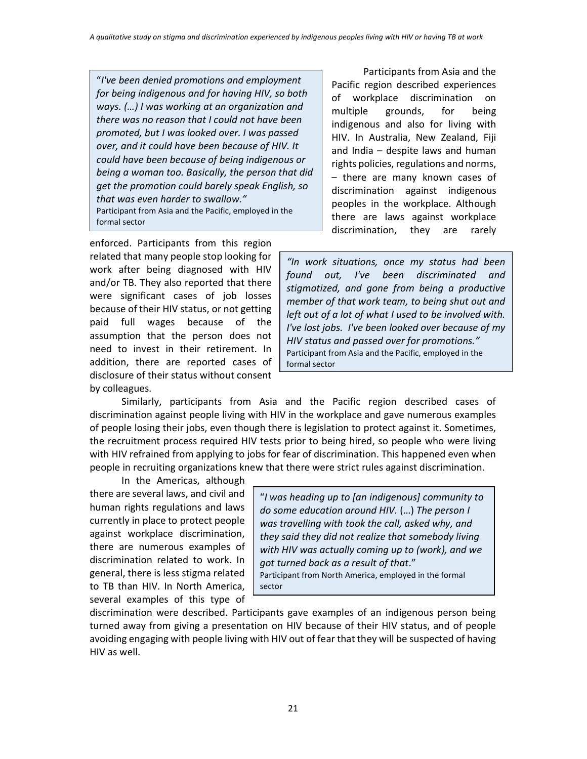"I've been denied promotions and employment for being indigenous and for having HIV, so both ways. (…) I was working at an organization and there was no reason that I could not have been promoted, but I was looked over. I was passed over, and it could have been because of HIV. It could have been because of being indigenous or being a woman too. Basically, the person that did get the promotion could barely speak English, so that was even harder to swallow." Participant from Asia and the Pacific, employed in the formal sector

Participants from Asia and the Pacific region described experiences of workplace discrimination on multiple grounds, for being indigenous and also for living with HIV. In Australia, New Zealand, Fiji and India – despite laws and human rights policies, regulations and norms, – there are many known cases of discrimination against indigenous peoples in the workplace. Although there are laws against workplace discrimination, they are rarely

enforced. Participants from this region related that many people stop looking for work after being diagnosed with HIV and/or TB. They also reported that there were significant cases of job losses because of their HIV status, or not getting paid full wages because of the assumption that the person does not need to invest in their retirement. In addition, there are reported cases of disclosure of their status without consent by colleagues.

"In work situations, once my status had been found out, I've been discriminated and stigmatized, and gone from being a productive member of that work team, to being shut out and left out of a lot of what I used to be involved with. I've lost jobs. I've been looked over because of my HIV status and passed over for promotions." Participant from Asia and the Pacific, employed in the formal sector

Similarly, participants from Asia and the Pacific region described cases of discrimination against people living with HIV in the workplace and gave numerous examples of people losing their jobs, even though there is legislation to protect against it. Sometimes, the recruitment process required HIV tests prior to being hired, so people who were living with HIV refrained from applying to jobs for fear of discrimination. This happened even when people in recruiting organizations knew that there were strict rules against discrimination.

In the Americas, although there are several laws, and civil and human rights regulations and laws currently in place to protect people against workplace discrimination, there are numerous examples of discrimination related to work. In general, there is less stigma related to TB than HIV. In North America, several examples of this type of

"I was heading up to [an indigenous] community to do some education around HIV. (…) The person I was travelling with took the call, asked why, and they said they did not realize that somebody living with HIV was actually coming up to (work), and we got turned back as a result of that." Participant from North America, employed in the formal sector

discrimination were described. Participants gave examples of an indigenous person being turned away from giving a presentation on HIV because of their HIV status, and of people avoiding engaging with people living with HIV out of fear that they will be suspected of having HIV as well.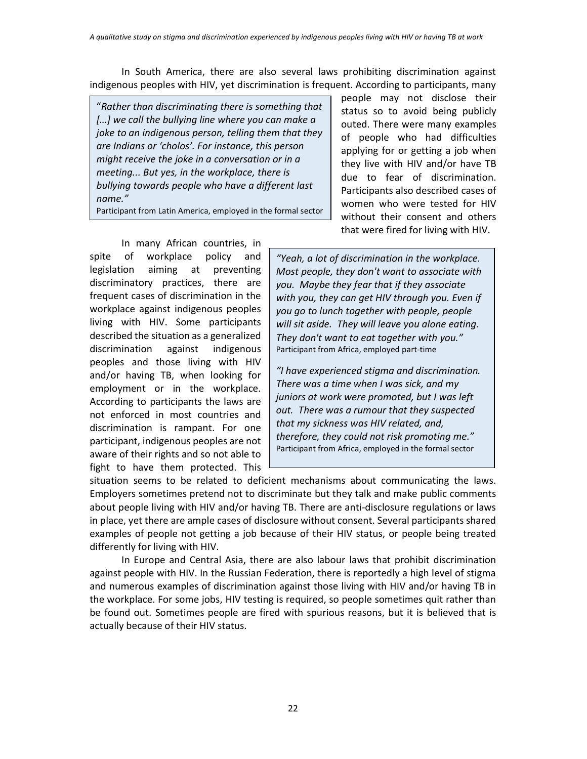In South America, there are also several laws prohibiting discrimination against indigenous peoples with HIV, yet discrimination is frequent. According to participants, many

"Rather than discriminating there is something that [...] we call the bullying line where you can make a joke to an indigenous person, telling them that they are Indians or 'cholos'. For instance, this person might receive the joke in a conversation or in a meeting... But yes, in the workplace, there is bullying towards people who have a different last name." Participant from Latin America, employed in the formal sector

people may not disclose their status so to avoid being publicly outed. There were many examples of people who had difficulties applying for or getting a job when they live with HIV and/or have TB due to fear of discrimination. Participants also described cases of women who were tested for HIV without their consent and others that were fired for living with HIV.

In many African countries, in spite of workplace policy and legislation aiming at preventing discriminatory practices, there are frequent cases of discrimination in the workplace against indigenous peoples living with HIV. Some participants described the situation as a generalized discrimination against indigenous peoples and those living with HIV and/or having TB, when looking for employment or in the workplace. According to participants the laws are not enforced in most countries and discrimination is rampant. For one participant, indigenous peoples are not aware of their rights and so not able to fight to have them protected. This

"Yeah, a lot of discrimination in the workplace. Most people, they don't want to associate with you. Maybe they fear that if they associate with you, they can get HIV through you. Even if you go to lunch together with people, people will sit aside. They will leave you alone eating. They don't want to eat together with you." Participant from Africa, employed part-time

"I have experienced stigma and discrimination. There was a time when I was sick, and my juniors at work were promoted, but I was left out. There was a rumour that they suspected that my sickness was HIV related, and, therefore, they could not risk promoting me." Participant from Africa, employed in the formal sector

situation seems to be related to deficient mechanisms about communicating the laws. Employers sometimes pretend not to discriminate but they talk and make public comments about people living with HIV and/or having TB. There are anti-disclosure regulations or laws in place, yet there are ample cases of disclosure without consent. Several participants shared examples of people not getting a job because of their HIV status, or people being treated differently for living with HIV.

In Europe and Central Asia, there are also labour laws that prohibit discrimination against people with HIV. In the Russian Federation, there is reportedly a high level of stigma and numerous examples of discrimination against those living with HIV and/or having TB in the workplace. For some jobs, HIV testing is required, so people sometimes quit rather than be found out. Sometimes people are fired with spurious reasons, but it is believed that is actually because of their HIV status.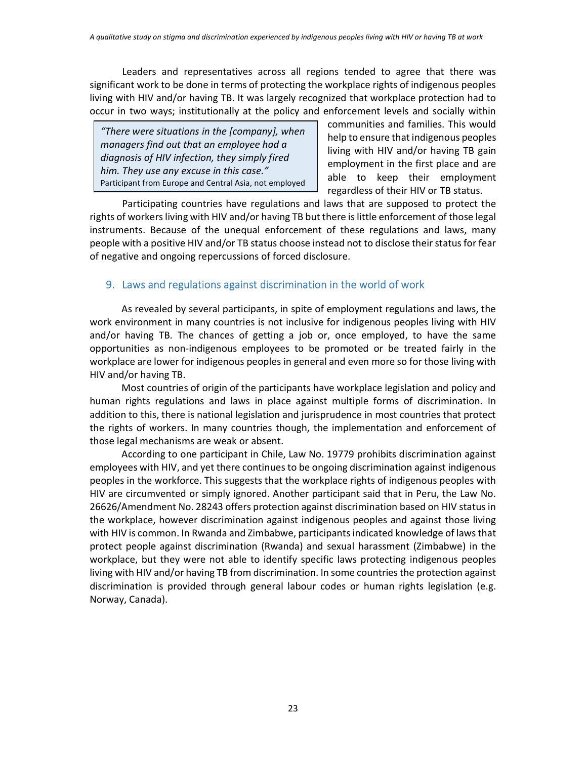Leaders and representatives across all regions tended to agree that there was significant work to be done in terms of protecting the workplace rights of indigenous peoples living with HIV and/or having TB. It was largely recognized that workplace protection had to occur in two ways; institutionally at the policy and enforcement levels and socially within

"There were situations in the [company], when managers find out that an employee had a diagnosis of HIV infection, they simply fired him. They use any excuse in this case." Participant from Europe and Central Asia, not employed communities and families. This would help to ensure that indigenous peoples living with HIV and/or having TB gain employment in the first place and are able to keep their employment regardless of their HIV or TB status.

 Participating countries have regulations and laws that are supposed to protect the rights of workers living with HIV and/or having TB but there is little enforcement of those legal instruments. Because of the unequal enforcement of these regulations and laws, many people with a positive HIV and/or TB status choose instead not to disclose their status for fear of negative and ongoing repercussions of forced disclosure.

### 9. Laws and regulations against discrimination in the world of work

As revealed by several participants, in spite of employment regulations and laws, the work environment in many countries is not inclusive for indigenous peoples living with HIV and/or having TB. The chances of getting a job or, once employed, to have the same opportunities as non-indigenous employees to be promoted or be treated fairly in the workplace are lower for indigenous peoples in general and even more so for those living with HIV and/or having TB.

Most countries of origin of the participants have workplace legislation and policy and human rights regulations and laws in place against multiple forms of discrimination. In addition to this, there is national legislation and jurisprudence in most countries that protect the rights of workers. In many countries though, the implementation and enforcement of those legal mechanisms are weak or absent.

According to one participant in Chile, Law No. 19779 prohibits discrimination against employees with HIV, and yet there continues to be ongoing discrimination against indigenous peoples in the workforce. This suggests that the workplace rights of indigenous peoples with HIV are circumvented or simply ignored. Another participant said that in Peru, the Law No. 26626/Amendment No. 28243 offers protection against discrimination based on HIV status in the workplace, however discrimination against indigenous peoples and against those living with HIV is common. In Rwanda and Zimbabwe, participants indicated knowledge of laws that protect people against discrimination (Rwanda) and sexual harassment (Zimbabwe) in the workplace, but they were not able to identify specific laws protecting indigenous peoples living with HIV and/or having TB from discrimination. In some countries the protection against discrimination is provided through general labour codes or human rights legislation (e.g. Norway, Canada).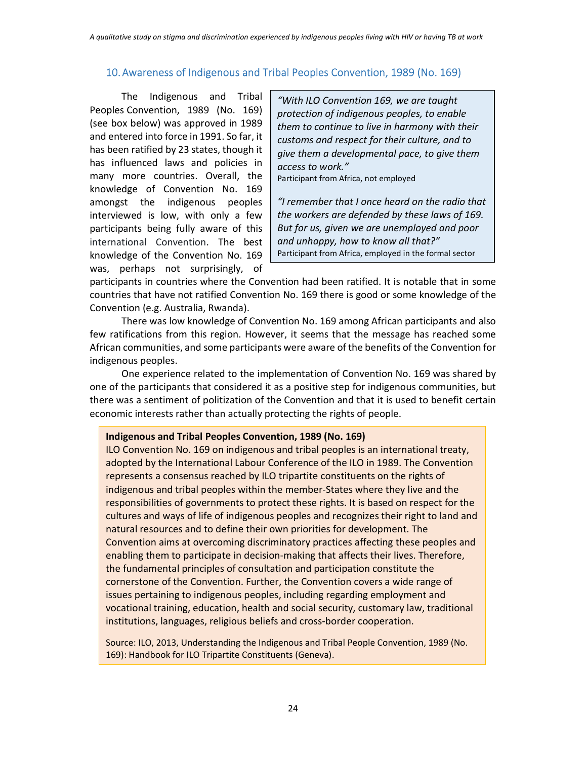### 10.Awareness of Indigenous and Tribal Peoples Convention, 1989 (No. 169)

The Indigenous and Tribal Peoples Convention, 1989 (No. 169) (see box below) was approved in 1989 and entered into force in 1991. So far, it has been ratified by 23 states, though it has influenced laws and policies in many more countries. Overall, the knowledge of Convention No. 169 amongst the indigenous peoples interviewed is low, with only a few participants being fully aware of this international Convention. The best knowledge of the Convention No. 169 was, perhaps not surprisingly, of

"With ILO Convention 169, we are taught protection of indigenous peoples, to enable them to continue to live in harmony with their customs and respect for their culture, and to give them a developmental pace, to give them access to work."

Participant from Africa, not employed

"I remember that I once heard on the radio that the workers are defended by these laws of 169. But for us, given we are unemployed and poor and unhappy, how to know all that?" Participant from Africa, employed in the formal sector

participants in countries where the Convention had been ratified. It is notable that in some countries that have not ratified Convention No. 169 there is good or some knowledge of the Convention (e.g. Australia, Rwanda).

There was low knowledge of Convention No. 169 among African participants and also few ratifications from this region. However, it seems that the message has reached some African communities, and some participants were aware of the benefits of the Convention for indigenous peoples.

One experience related to the implementation of Convention No. 169 was shared by one of the participants that considered it as a positive step for indigenous communities, but there was a sentiment of politization of the Convention and that it is used to benefit certain economic interests rather than actually protecting the rights of people.

#### Indigenous and Tribal Peoples Convention, 1989 (No. 169)

ILO Convention No. 169 on indigenous and tribal peoples is an international treaty, adopted by the International Labour Conference of the ILO in 1989. The Convention represents a consensus reached by ILO tripartite constituents on the rights of indigenous and tribal peoples within the member-States where they live and the responsibilities of governments to protect these rights. It is based on respect for the cultures and ways of life of indigenous peoples and recognizes their right to land and natural resources and to define their own priorities for development. The Convention aims at overcoming discriminatory practices affecting these peoples and enabling them to participate in decision-making that affects their lives. Therefore, the fundamental principles of consultation and participation constitute the cornerstone of the Convention. Further, the Convention covers a wide range of issues pertaining to indigenous peoples, including regarding employment and vocational training, education, health and social security, customary law, traditional institutions, languages, religious beliefs and cross-border cooperation.

Source: ILO, 2013, Understanding the Indigenous and Tribal People Convention, 1989 (No. 169): Handbook for ILO Tripartite Constituents (Geneva).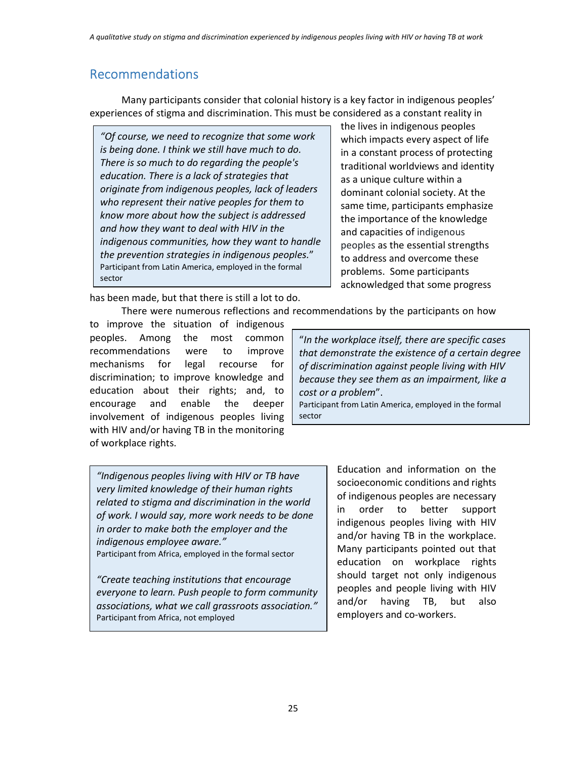## Recommendations

Many participants consider that colonial history is a key factor in indigenous peoples' experiences of stigma and discrimination. This must be considered as a constant reality in

"Of course, we need to recognize that some work is being done. I think we still have much to do. There is so much to do regarding the people's education. There is a lack of strategies that originate from indigenous peoples, lack of leaders who represent their native peoples for them to know more about how the subject is addressed and how they want to deal with HIV in the indigenous communities, how they want to handle the prevention strategies in indigenous peoples." Participant from Latin America, employed in the formal sector

the lives in indigenous peoples which impacts every aspect of life in a constant process of protecting traditional worldviews and identity as a unique culture within a dominant colonial society. At the same time, participants emphasize the importance of the knowledge and capacities of indigenous peoples as the essential strengths to address and overcome these problems. Some participants acknowledged that some progress

has been made, but that there is still a lot to do.

There were numerous reflections and recommendations by the participants on how

to improve the situation of indigenous peoples. Among the most common recommendations were to improve mechanisms for legal recourse for discrimination; to improve knowledge and education about their rights; and, to encourage and enable the deeper involvement of indigenous peoples living with HIV and/or having TB in the monitoring of workplace rights.

"In the workplace itself, there are specific cases that demonstrate the existence of a certain degree of discrimination against people living with HIV because they see them as an impairment, like a cost or a problem".

Participant from Latin America, employed in the formal sector

"Indigenous peoples living with HIV or TB have very limited knowledge of their human rights related to stigma and discrimination in the world of work. I would say, more work needs to be done in order to make both the employer and the indigenous employee aware." Participant from Africa, employed in the formal sector

"Create teaching institutions that encourage everyone to learn. Push people to form community associations, what we call grassroots association." Participant from Africa, not employed

Education and information on the socioeconomic conditions and rights of indigenous peoples are necessary in order to better support indigenous peoples living with HIV and/or having TB in the workplace. Many participants pointed out that education on workplace rights should target not only indigenous peoples and people living with HIV and/or having TB, but also employers and co-workers.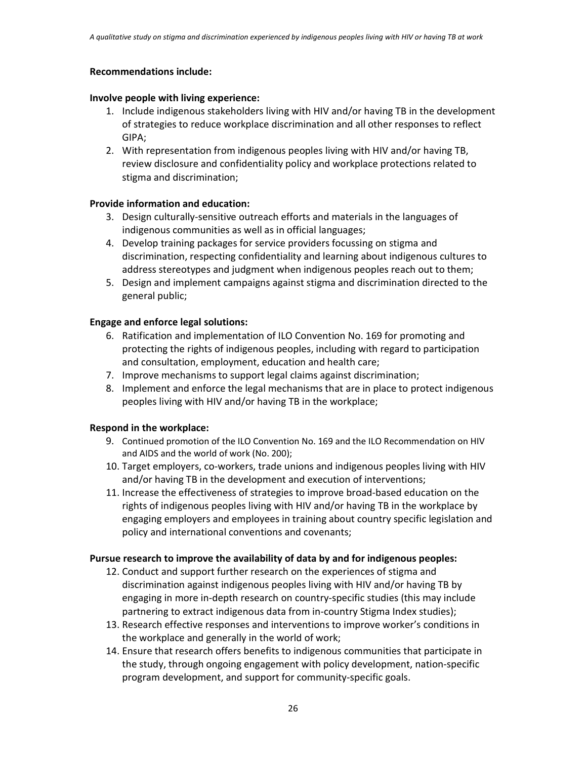#### Recommendations include:

#### Involve people with living experience:

- 1. Include indigenous stakeholders living with HIV and/or having TB in the development of strategies to reduce workplace discrimination and all other responses to reflect GIPA;
- 2. With representation from indigenous peoples living with HIV and/or having TB, review disclosure and confidentiality policy and workplace protections related to stigma and discrimination;

### Provide information and education:

- 3. Design culturally-sensitive outreach efforts and materials in the languages of indigenous communities as well as in official languages;
- 4. Develop training packages for service providers focussing on stigma and discrimination, respecting confidentiality and learning about indigenous cultures to address stereotypes and judgment when indigenous peoples reach out to them;
- 5. Design and implement campaigns against stigma and discrimination directed to the general public;

### Engage and enforce legal solutions:

- 6. Ratification and implementation of ILO Convention No. 169 for promoting and protecting the rights of indigenous peoples, including with regard to participation and consultation, employment, education and health care;
- 7. Improve mechanisms to support legal claims against discrimination;
- 8. Implement and enforce the legal mechanisms that are in place to protect indigenous peoples living with HIV and/or having TB in the workplace;

### Respond in the workplace:

- 9. Continued promotion of the ILO Convention No. 169 and the ILO Recommendation on HIV and AIDS and the world of work (No. 200);
- 10. Target employers, co-workers, trade unions and indigenous peoples living with HIV and/or having TB in the development and execution of interventions;
- 11. Increase the effectiveness of strategies to improve broad-based education on the rights of indigenous peoples living with HIV and/or having TB in the workplace by engaging employers and employees in training about country specific legislation and policy and international conventions and covenants;

### Pursue research to improve the availability of data by and for indigenous peoples:

- 12. Conduct and support further research on the experiences of stigma and discrimination against indigenous peoples living with HIV and/or having TB by engaging in more in-depth research on country-specific studies (this may include partnering to extract indigenous data from in-country Stigma Index studies);
- 13. Research effective responses and interventions to improve worker's conditions in the workplace and generally in the world of work;
- 14. Ensure that research offers benefits to indigenous communities that participate in the study, through ongoing engagement with policy development, nation-specific program development, and support for community-specific goals.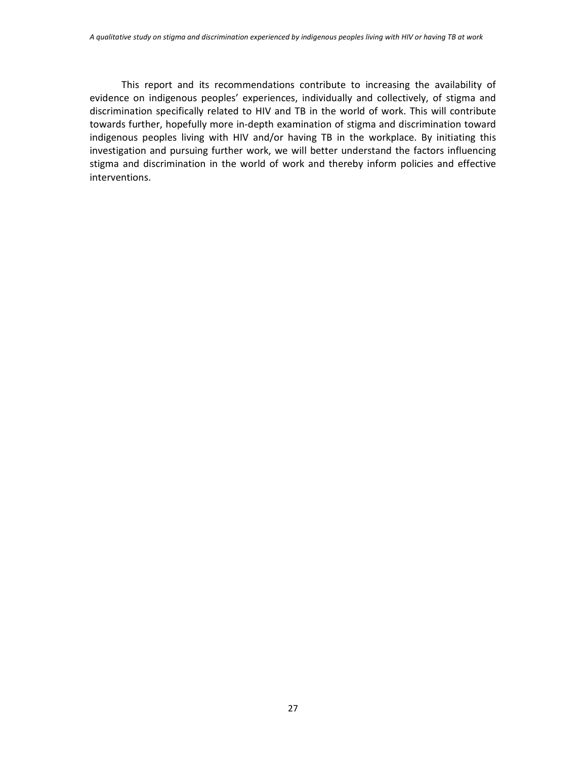This report and its recommendations contribute to increasing the availability of evidence on indigenous peoples' experiences, individually and collectively, of stigma and discrimination specifically related to HIV and TB in the world of work. This will contribute towards further, hopefully more in-depth examination of stigma and discrimination toward indigenous peoples living with HIV and/or having TB in the workplace. By initiating this investigation and pursuing further work, we will better understand the factors influencing stigma and discrimination in the world of work and thereby inform policies and effective interventions.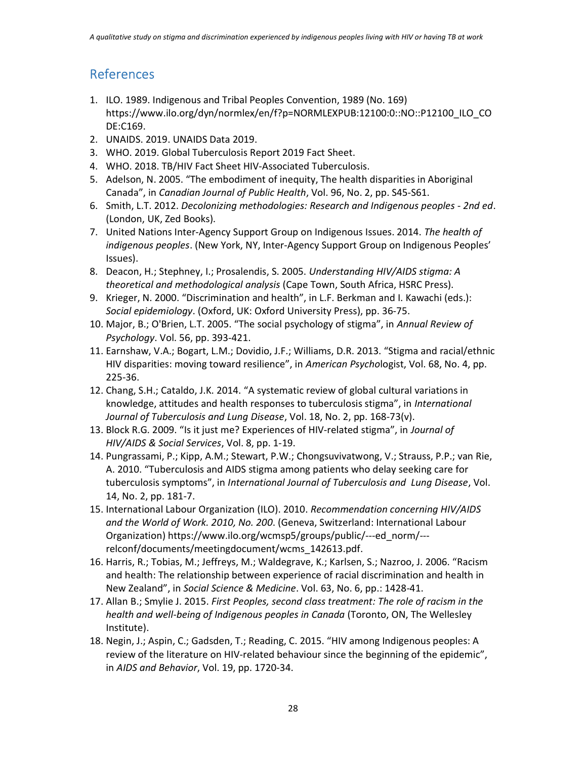## References

- 1. ILO. 1989. Indigenous and Tribal Peoples Convention, 1989 (No. 169) https://www.ilo.org/dyn/normlex/en/f?p=NORMLEXPUB:12100:0::NO::P12100\_ILO\_CO DE:C169.
- 2. UNAIDS. 2019. UNAIDS Data 2019.
- 3. WHO. 2019. Global Tuberculosis Report 2019 Fact Sheet.
- 4. WHO. 2018. TB/HIV Fact Sheet HIV-Associated Tuberculosis.
- 5. Adelson, N. 2005. "The embodiment of inequity, The health disparities in Aboriginal Canada", in Canadian Journal of Public Health, Vol. 96, No. 2, pp. S45-S61.
- 6. Smith, L.T. 2012. Decolonizing methodologies: Research and Indigenous peoples 2nd ed. (London, UK, Zed Books).
- 7. United Nations Inter-Agency Support Group on Indigenous Issues. 2014. The health of indigenous peoples. (New York, NY, Inter-Agency Support Group on Indigenous Peoples' Issues).
- 8. Deacon, H.; Stephney, I.; Prosalendis, S. 2005. Understanding HIV/AIDS stigma: A theoretical and methodological analysis (Cape Town, South Africa, HSRC Press).
- 9. Krieger, N. 2000. "Discrimination and health", in L.F. Berkman and I. Kawachi (eds.): Social epidemiology. (Oxford, UK: Oxford University Press), pp. 36-75.
- 10. Major, B.; O'Brien, L.T. 2005. "The social psychology of stigma", in Annual Review of Psychology. Vol. 56, pp. 393-421.
- 11. Earnshaw, V.A.; Bogart, L.M.; Dovidio, J.F.; Williams, D.R. 2013. "Stigma and racial/ethnic HIV disparities: moving toward resilience", in American Psychologist, Vol. 68, No. 4, pp. 225-36.
- 12. Chang, S.H.; Cataldo, J.K. 2014. "A systematic review of global cultural variations in knowledge, attitudes and health responses to tuberculosis stigma", in International Journal of Tuberculosis and Lung Disease, Vol. 18, No. 2, pp. 168-73(v).
- 13. Block R.G. 2009. "Is it just me? Experiences of HIV-related stigma", in Journal of HIV/AIDS & Social Services, Vol. 8, pp. 1-19.
- 14. Pungrassami, P.; Kipp, A.M.; Stewart, P.W.; Chongsuvivatwong, V.; Strauss, P.P.; van Rie, A. 2010. "Tuberculosis and AIDS stigma among patients who delay seeking care for tuberculosis symptoms", in International Journal of Tuberculosis and Lung Disease, Vol. 14, No. 2, pp. 181-7.
- 15. International Labour Organization (ILO). 2010. Recommendation concerning HIV/AIDS and the World of Work. 2010, No. 200. (Geneva, Switzerland: International Labour Organization) https://www.ilo.org/wcmsp5/groups/public/---ed\_norm/-- relconf/documents/meetingdocument/wcms\_142613.pdf.
- 16. Harris, R.; Tobias, M.; Jeffreys, M.; Waldegrave, K.; Karlsen, S.; Nazroo, J. 2006. "Racism and health: The relationship between experience of racial discrimination and health in New Zealand", in Social Science & Medicine. Vol. 63, No. 6, pp.: 1428-41.
- 17. Allan B.; Smylie J. 2015. First Peoples, second class treatment: The role of racism in the health and well-being of Indigenous peoples in Canada (Toronto, ON, The Wellesley Institute).
- 18. Negin, J.; Aspin, C.; Gadsden, T.; Reading, C. 2015. "HIV among Indigenous peoples: A review of the literature on HIV-related behaviour since the beginning of the epidemic", in AIDS and Behavior, Vol. 19, pp. 1720-34.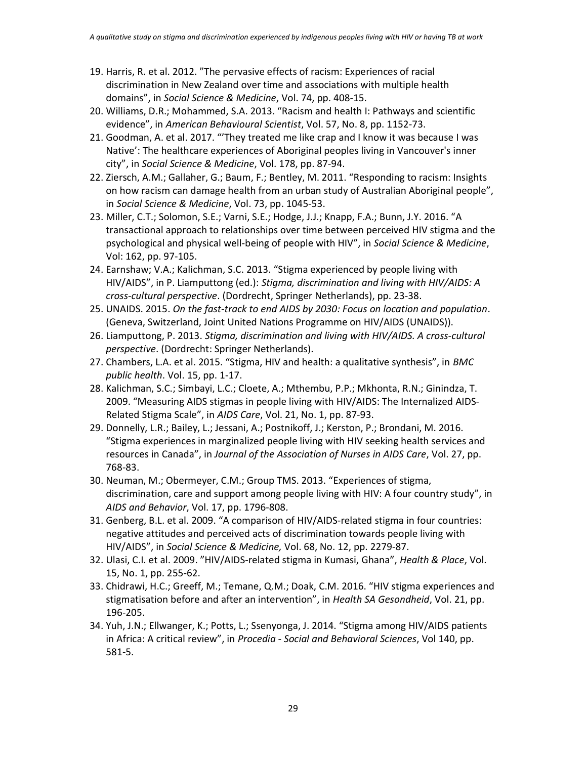- 19. Harris, R. et al. 2012. "The pervasive effects of racism: Experiences of racial discrimination in New Zealand over time and associations with multiple health domains", in Social Science & Medicine, Vol. 74, pp. 408-15.
- 20. Williams, D.R.; Mohammed, S.A. 2013. "Racism and health I: Pathways and scientific evidence", in American Behavioural Scientist, Vol. 57, No. 8, pp. 1152-73.
- 21. Goodman, A. et al. 2017. "'They treated me like crap and I know it was because I was Native': The healthcare experiences of Aboriginal peoples living in Vancouver's inner city", in Social Science & Medicine, Vol. 178, pp. 87-94.
- 22. Ziersch, A.M.; Gallaher, G.; Baum, F.; Bentley, M. 2011. "Responding to racism: Insights on how racism can damage health from an urban study of Australian Aboriginal people", in Social Science & Medicine, Vol. 73, pp. 1045-53.
- 23. Miller, C.T.; Solomon, S.E.; Varni, S.E.; Hodge, J.J.; Knapp, F.A.; Bunn, J.Y. 2016. "A transactional approach to relationships over time between perceived HIV stigma and the psychological and physical well-being of people with HIV", in Social Science & Medicine, Vol: 162, pp. 97-105.
- 24. Earnshaw; V.A.; Kalichman, S.C. 2013. "Stigma experienced by people living with HIV/AIDS", in P. Liamputtong (ed.): Stigma, discrimination and living with HIV/AIDS: A cross-cultural perspective. (Dordrecht, Springer Netherlands), pp. 23-38.
- 25. UNAIDS. 2015. On the fast-track to end AIDS by 2030: Focus on location and population. (Geneva, Switzerland, Joint United Nations Programme on HIV/AIDS (UNAIDS)).
- 26. Liamputtong, P. 2013. Stigma, discrimination and living with HIV/AIDS. A cross-cultural perspective. (Dordrecht: Springer Netherlands).
- 27. Chambers, L.A. et al. 2015. "Stigma, HIV and health: a qualitative synthesis", in BMC public health. Vol. 15, pp. 1-17.
- 28. Kalichman, S.C.; Simbayi, L.C.; Cloete, A.; Mthembu, P.P.; Mkhonta, R.N.; Ginindza, T. 2009. "Measuring AIDS stigmas in people living with HIV/AIDS: The Internalized AIDS-Related Stigma Scale", in AIDS Care, Vol. 21, No. 1, pp. 87-93.
- 29. Donnelly, L.R.; Bailey, L.; Jessani, A.; Postnikoff, J.; Kerston, P.; Brondani, M. 2016. "Stigma experiences in marginalized people living with HIV seeking health services and resources in Canada", in Journal of the Association of Nurses in AIDS Care, Vol. 27, pp. 768-83.
- 30. Neuman, M.; Obermeyer, C.M.; Group TMS. 2013. "Experiences of stigma, discrimination, care and support among people living with HIV: A four country study", in AIDS and Behavior, Vol. 17, pp. 1796-808.
- 31. Genberg, B.L. et al. 2009. "A comparison of HIV/AIDS-related stigma in four countries: negative attitudes and perceived acts of discrimination towards people living with HIV/AIDS", in Social Science & Medicine, Vol. 68, No. 12, pp. 2279-87.
- 32. Ulasi, C.I. et al. 2009. "HIV/AIDS-related stigma in Kumasi, Ghana", Health & Place, Vol. 15, No. 1, pp. 255-62.
- 33. Chidrawi, H.C.; Greeff, M.; Temane, Q.M.; Doak, C.M. 2016. "HIV stigma experiences and stigmatisation before and after an intervention", in Health SA Gesondheid, Vol. 21, pp. 196-205.
- 34. Yuh, J.N.; Ellwanger, K.; Potts, L.; Ssenyonga, J. 2014. "Stigma among HIV/AIDS patients in Africa: A critical review", in Procedia - Social and Behavioral Sciences, Vol 140, pp. 581-5.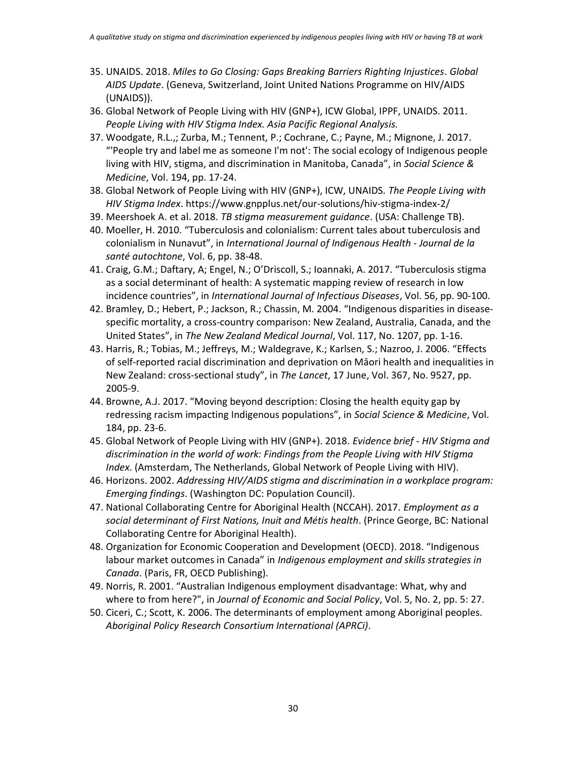- 35. UNAIDS. 2018. Miles to Go Closing: Gaps Breaking Barriers Righting Injustices. Global AIDS Update. (Geneva, Switzerland, Joint United Nations Programme on HIV/AIDS (UNAIDS)).
- 36. Global Network of People Living with HIV (GNP+), ICW Global, IPPF, UNAIDS. 2011. People Living with HIV Stigma Index. Asia Pacific Regional Analysis.
- 37. Woodgate, R.L.,; Zurba, M.; Tennent, P.; Cochrane, C.; Payne, M.; Mignone, J. 2017. "'People try and label me as someone I'm not': The social ecology of Indigenous people living with HIV, stigma, and discrimination in Manitoba, Canada", in Social Science & Medicine, Vol. 194, pp. 17-24.
- 38. Global Network of People Living with HIV (GNP+), ICW, UNAIDS. The People Living with HIV Stigma Index. https://www.gnpplus.net/our-solutions/hiv-stigma-index-2/
- 39. Meershoek A. et al. 2018. TB stigma measurement quidance. (USA: Challenge TB).
- 40. Moeller, H. 2010. "Tuberculosis and colonialism: Current tales about tuberculosis and colonialism in Nunavut", in International Journal of Indigenous Health - Journal de la santé autochtone, Vol. 6, pp. 38-48.
- 41. Craig, G.M.; Daftary, A; Engel, N.; O'Driscoll, S.; Ioannaki, A. 2017. "Tuberculosis stigma as a social determinant of health: A systematic mapping review of research in low incidence countries", in International Journal of Infectious Diseases, Vol. 56, pp. 90-100.
- 42. Bramley, D.; Hebert, P.; Jackson, R.; Chassin, M. 2004. "Indigenous disparities in diseasespecific mortality, a cross-country comparison: New Zealand, Australia, Canada, and the United States", in The New Zealand Medical Journal, Vol. 117, No. 1207, pp. 1-16.
- 43. Harris, R.; Tobias, M.; Jeffreys, M.; Waldegrave, K.; Karlsen, S.; Nazroo, J. 2006. "Effects of self-reported racial discrimination and deprivation on Māori health and inequalities in New Zealand: cross-sectional study", in The Lancet, 17 June, Vol. 367, No. 9527, pp. 2005-9.
- 44. Browne, A.J. 2017. "Moving beyond description: Closing the health equity gap by redressing racism impacting Indigenous populations", in Social Science & Medicine, Vol. 184, pp. 23-6.
- 45. Global Network of People Living with HIV (GNP+). 2018. Evidence brief HIV Stigma and discrimination in the world of work: Findings from the People Living with HIV Stigma Index. (Amsterdam, The Netherlands, Global Network of People Living with HIV).
- 46. Horizons. 2002. Addressing HIV/AIDS stigma and discrimination in a workplace program: Emerging findings. (Washington DC: Population Council).
- 47. National Collaborating Centre for Aboriginal Health (NCCAH). 2017. Employment as a social determinant of First Nations, Inuit and Métis health. (Prince George, BC: National Collaborating Centre for Aboriginal Health).
- 48. Organization for Economic Cooperation and Development (OECD). 2018. "Indigenous labour market outcomes in Canada" in Indigenous employment and skills strategies in Canada. (Paris, FR, OECD Publishing).
- 49. Norris, R. 2001. "Australian Indigenous employment disadvantage: What, why and where to from here?", in Journal of Economic and Social Policy, Vol. 5, No. 2, pp. 5: 27.
- 50. Ciceri, C.; Scott, K. 2006. The determinants of employment among Aboriginal peoples. Aboriginal Policy Research Consortium International (APRCi).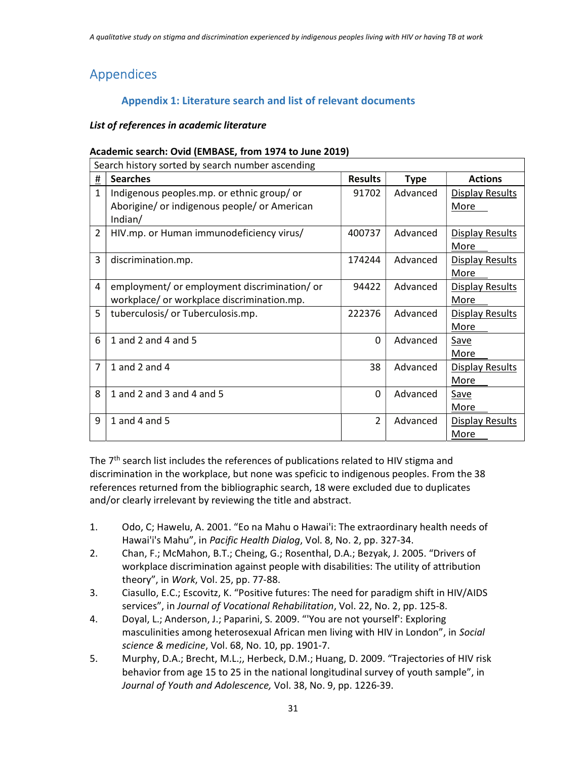## Appendices

### Appendix 1: Literature search and list of relevant documents

### List of references in academic literature

### Academic search: Ovid (EMBASE, from 1974 to June 2019)

|                | Search history sorted by search number ascending                                                     |                |             |                                       |  |  |  |
|----------------|------------------------------------------------------------------------------------------------------|----------------|-------------|---------------------------------------|--|--|--|
| $#_2$          | <b>Searches</b>                                                                                      | <b>Results</b> | <b>Type</b> | <b>Actions</b>                        |  |  |  |
| $\mathbf{1}$   | Indigenous peoples.mp. or ethnic group/or<br>Aborigine/ or indigenous people/ or American<br>Indian/ | 91702          | Advanced    | <b>Display Results</b><br>More        |  |  |  |
| $\overline{2}$ | HIV.mp. or Human immunodeficiency virus/                                                             | 400737         | Advanced    | <b>Display Results</b><br>More        |  |  |  |
| 3              | discrimination.mp.                                                                                   | 174244         | Advanced    | <b>Display Results</b><br>More        |  |  |  |
| 4              | employment/ or employment discrimination/ or<br>workplace/ or workplace discrimination.mp.           | 94422          | Advanced    | <b>Display Results</b><br>More        |  |  |  |
| 5              | tuberculosis/ or Tuberculosis.mp.                                                                    | 222376         | Advanced    | <b>Display Results</b><br>More        |  |  |  |
| 6              | 1 and 2 and 4 and 5                                                                                  | 0              | Advanced    | <b>Save</b><br>More                   |  |  |  |
| 7              | 1 and 2 and 4                                                                                        | 38             | Advanced    | Display Results<br>More               |  |  |  |
| 8              | 1 and 2 and 3 and 4 and 5                                                                            | 0              | Advanced    | <b>Save</b><br>More                   |  |  |  |
| 9              | 1 and 4 and 5                                                                                        | $\overline{2}$ | Advanced    | <b>Display Results</b><br><b>More</b> |  |  |  |

The  $7<sup>th</sup>$  search list includes the references of publications related to HIV stigma and discrimination in the workplace, but none was speficic to indigenous peoples. From the 38 references returned from the bibliographic search, 18 were excluded due to duplicates and/or clearly irrelevant by reviewing the title and abstract.

- 1. Odo, C; Hawelu, A. 2001. "Eo na Mahu o Hawai'i: The extraordinary health needs of Hawai'i's Mahu", in Pacific Health Dialog, Vol. 8, No. 2, pp. 327-34.
- 2. Chan, F.; McMahon, B.T.; Cheing, G.; Rosenthal, D.A.; Bezyak, J. 2005. "Drivers of workplace discrimination against people with disabilities: The utility of attribution theory", in Work, Vol. 25, pp. 77-88.
- 3. Ciasullo, E.C.; Escovitz, K. "Positive futures: The need for paradigm shift in HIV/AIDS services", in Journal of Vocational Rehabilitation, Vol. 22, No. 2, pp. 125-8.
- 4. Doyal, L.; Anderson, J.; Paparini, S. 2009. "'You are not yourself': Exploring masculinities among heterosexual African men living with HIV in London", in Social science & medicine, Vol. 68, No. 10, pp. 1901-7.
- 5. Murphy, D.A.; Brecht, M.L.;, Herbeck, D.M.; Huang, D. 2009. "Trajectories of HIV risk behavior from age 15 to 25 in the national longitudinal survey of youth sample", in Journal of Youth and Adolescence, Vol. 38, No. 9, pp. 1226-39.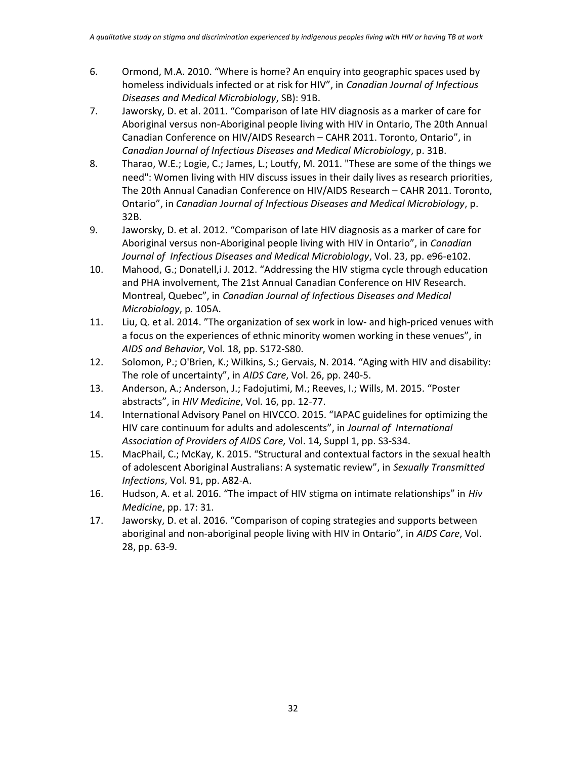- 6. Ormond, M.A. 2010. "Where is home? An enquiry into geographic spaces used by homeless individuals infected or at risk for HIV", in Canadian Journal of Infectious Diseases and Medical Microbiology, SB): 91B.
- 7. Jaworsky, D. et al. 2011. "Comparison of late HIV diagnosis as a marker of care for Aboriginal versus non-Aboriginal people living with HIV in Ontario, The 20th Annual Canadian Conference on HIV/AIDS Research – CAHR 2011. Toronto, Ontario", in Canadian Journal of Infectious Diseases and Medical Microbiology, p. 31B.
- 8. Tharao, W.E.; Logie, C.; James, L.; Loutfy, M. 2011. "These are some of the things we need": Women living with HIV discuss issues in their daily lives as research priorities, The 20th Annual Canadian Conference on HIV/AIDS Research – CAHR 2011. Toronto, Ontario", in Canadian Journal of Infectious Diseases and Medical Microbiology, p. 32B.
- 9. Jaworsky, D. et al. 2012. "Comparison of late HIV diagnosis as a marker of care for Aboriginal versus non-Aboriginal people living with HIV in Ontario", in Canadian Journal of Infectious Diseases and Medical Microbiology, Vol. 23, pp. e96-e102.
- 10. Mahood, G.; Donatell,i J. 2012. "Addressing the HIV stigma cycle through education and PHA involvement, The 21st Annual Canadian Conference on HIV Research. Montreal, Quebec", in Canadian Journal of Infectious Diseases and Medical Microbiology, p. 105A.
- 11. Liu, Q. et al. 2014. "The organization of sex work in low- and high-priced venues with a focus on the experiences of ethnic minority women working in these venues", in AIDS and Behavior, Vol. 18, pp. S172-S80.
- 12. Solomon, P.; O'Brien, K.; Wilkins, S.; Gervais, N. 2014. "Aging with HIV and disability: The role of uncertainty", in AIDS Care, Vol. 26, pp. 240-5.
- 13. Anderson, A.; Anderson, J.; Fadojutimi, M.; Reeves, I.; Wills, M. 2015. "Poster abstracts", in HIV Medicine, Vol. 16, pp. 12-77.
- 14. International Advisory Panel on HIVCCO. 2015. "IAPAC guidelines for optimizing the HIV care continuum for adults and adolescents", in Journal of International Association of Providers of AIDS Care, Vol. 14, Suppl 1, pp. S3-S34.
- 15. MacPhail, C.; McKay, K. 2015. "Structural and contextual factors in the sexual health of adolescent Aboriginal Australians: A systematic review", in Sexually Transmitted Infections, Vol. 91, pp. A82-A.
- 16. Hudson, A. et al. 2016. "The impact of HIV stigma on intimate relationships" in Hiv Medicine, pp. 17: 31.
- 17. Jaworsky, D. et al. 2016. "Comparison of coping strategies and supports between aboriginal and non-aboriginal people living with HIV in Ontario", in AIDS Care, Vol. 28, pp. 63-9.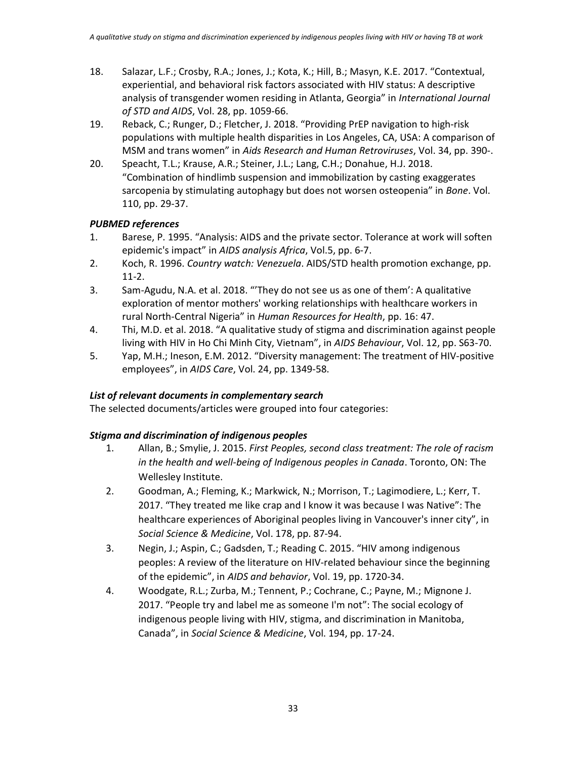- 18. Salazar, L.F.; Crosby, R.A.; Jones, J.; Kota, K.; Hill, B.; Masyn, K.E. 2017. "Contextual, experiential, and behavioral risk factors associated with HIV status: A descriptive analysis of transgender women residing in Atlanta, Georgia" in International Journal of STD and AIDS, Vol. 28, pp. 1059-66.
- 19. Reback, C.; Runger, D.; Fletcher, J. 2018. "Providing PrEP navigation to high-risk populations with multiple health disparities in Los Angeles, CA, USA: A comparison of MSM and trans women" in Aids Research and Human Retroviruses, Vol. 34, pp. 390-.
- 20. Speacht, T.L.; Krause, A.R.; Steiner, J.L.; Lang, C.H.; Donahue, H.J. 2018. "Combination of hindlimb suspension and immobilization by casting exaggerates sarcopenia by stimulating autophagy but does not worsen osteopenia" in Bone. Vol. 110, pp. 29-37.

### PUBMED references

- 1. Barese, P. 1995. "Analysis: AIDS and the private sector. Tolerance at work will soften epidemic's impact" in AIDS analysis Africa, Vol.5, pp. 6-7.
- 2. Koch, R. 1996. Country watch: Venezuela. AIDS/STD health promotion exchange, pp. 11-2.
- 3. Sam-Agudu, N.A. et al. 2018. "'They do not see us as one of them': A qualitative exploration of mentor mothers' working relationships with healthcare workers in rural North-Central Nigeria" in Human Resources for Health, pp. 16: 47.
- 4. Thi, M.D. et al. 2018. "A qualitative study of stigma and discrimination against people living with HIV in Ho Chi Minh City, Vietnam", in AIDS Behaviour, Vol. 12, pp. S63-70.
- 5. Yap, M.H.; Ineson, E.M. 2012. "Diversity management: The treatment of HIV-positive employees", in AIDS Care, Vol. 24, pp. 1349-58.

### List of relevant documents in complementary search

The selected documents/articles were grouped into four categories:

### Stigma and discrimination of indigenous peoples

- 1. Allan, B.; Smylie, J. 2015. First Peoples, second class treatment: The role of racism in the health and well-being of Indigenous peoples in Canada. Toronto, ON: The Wellesley Institute.
- 2. Goodman, A.; Fleming, K.; Markwick, N.; Morrison, T.; Lagimodiere, L.; Kerr, T. 2017. "They treated me like crap and I know it was because I was Native": The healthcare experiences of Aboriginal peoples living in Vancouver's inner city", in Social Science & Medicine, Vol. 178, pp. 87-94.
- 3. Negin, J.; Aspin, C.; Gadsden, T.; Reading C. 2015. "HIV among indigenous peoples: A review of the literature on HIV-related behaviour since the beginning of the epidemic", in AIDS and behavior, Vol. 19, pp. 1720-34.
- 4. Woodgate, R.L.; Zurba, M.; Tennent, P.; Cochrane, C.; Payne, M.; Mignone J. 2017. "People try and label me as someone I'm not": The social ecology of indigenous people living with HIV, stigma, and discrimination in Manitoba, Canada", in Social Science & Medicine, Vol. 194, pp. 17-24.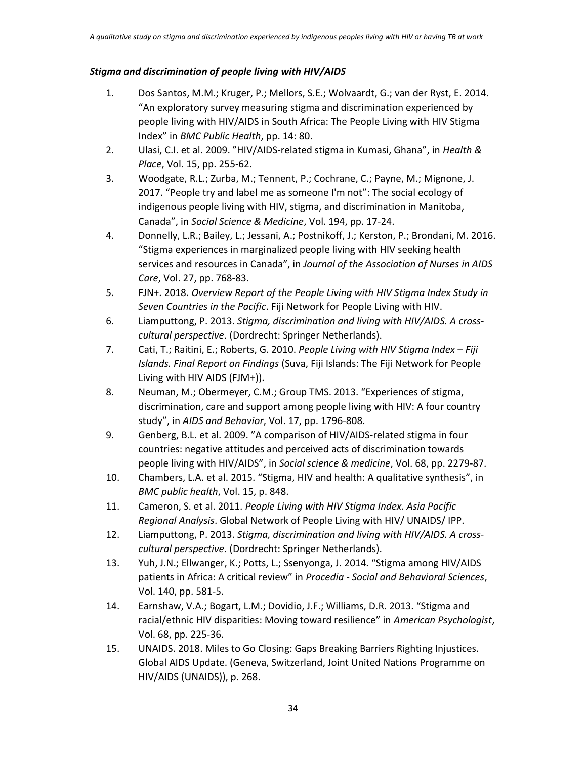### Stigma and discrimination of people living with HIV/AIDS

- 1. Dos Santos, M.M.; Kruger, P.; Mellors, S.E.; Wolvaardt, G.; van der Ryst, E. 2014. "An exploratory survey measuring stigma and discrimination experienced by people living with HIV/AIDS in South Africa: The People Living with HIV Stigma Index" in BMC Public Health, pp. 14: 80.
- 2. Ulasi, C.I. et al. 2009. "HIV/AIDS-related stigma in Kumasi, Ghana", in Health & Place, Vol. 15, pp. 255-62.
- 3. Woodgate, R.L.; Zurba, M.; Tennent, P.; Cochrane, C.; Payne, M.; Mignone, J. 2017. "People try and label me as someone I'm not": The social ecology of indigenous people living with HIV, stigma, and discrimination in Manitoba, Canada", in Social Science & Medicine, Vol. 194, pp. 17-24.
- 4. Donnelly, L.R.; Bailey, L.; Jessani, A.; Postnikoff, J.; Kerston, P.; Brondani, M. 2016. "Stigma experiences in marginalized people living with HIV seeking health services and resources in Canada", in Journal of the Association of Nurses in AIDS Care, Vol. 27, pp. 768-83.
- 5. FJN+. 2018. Overview Report of the People Living with HIV Stigma Index Study in Seven Countries in the Pacific. Fiji Network for People Living with HIV.
- 6. Liamputtong, P. 2013. Stigma, discrimination and living with HIV/AIDS. A crosscultural perspective. (Dordrecht: Springer Netherlands).
- 7. Cati, T.; Raitini, E.; Roberts, G. 2010. People Living with HIV Stigma Index Fiji Islands. Final Report on Findings (Suva, Fiji Islands: The Fiji Network for People Living with HIV AIDS (FJM+)).
- 8. Neuman, M.; Obermeyer, C.M.; Group TMS. 2013. "Experiences of stigma, discrimination, care and support among people living with HIV: A four country study", in AIDS and Behavior, Vol. 17, pp. 1796-808.
- 9. Genberg, B.L. et al. 2009. "A comparison of HIV/AIDS-related stigma in four countries: negative attitudes and perceived acts of discrimination towards people living with HIV/AIDS", in Social science & medicine, Vol. 68, pp. 2279-87.
- 10. Chambers, L.A. et al. 2015. "Stigma, HIV and health: A qualitative synthesis", in BMC public health, Vol. 15, p. 848.
- 11. Cameron, S. et al. 2011. People Living with HIV Stigma Index. Asia Pacific Regional Analysis. Global Network of People Living with HIV/ UNAIDS/ IPP.
- 12. Liamputtong, P. 2013. Stigma, discrimination and living with HIV/AIDS. A crosscultural perspective. (Dordrecht: Springer Netherlands).
- 13. Yuh, J.N.; Ellwanger, K.; Potts, L.; Ssenyonga, J. 2014. "Stigma among HIV/AIDS patients in Africa: A critical review" in Procedia - Social and Behavioral Sciences, Vol. 140, pp. 581-5.
- 14. Earnshaw, V.A.; Bogart, L.M.; Dovidio, J.F.; Williams, D.R. 2013. "Stigma and racial/ethnic HIV disparities: Moving toward resilience" in American Psychologist, Vol. 68, pp. 225-36.
- 15. UNAIDS. 2018. Miles to Go Closing: Gaps Breaking Barriers Righting Injustices. Global AIDS Update. (Geneva, Switzerland, Joint United Nations Programme on HIV/AIDS (UNAIDS)), p. 268.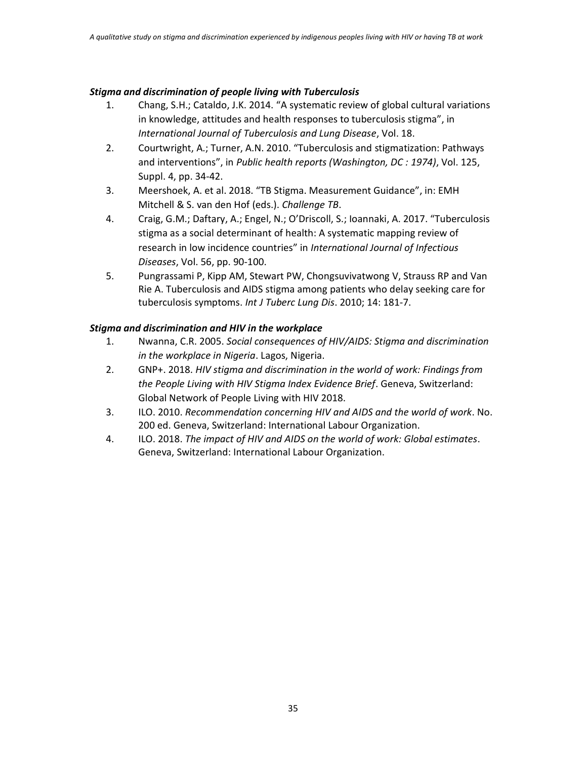### Stigma and discrimination of people living with Tuberculosis

- 1. Chang, S.H.; Cataldo, J.K. 2014. "A systematic review of global cultural variations in knowledge, attitudes and health responses to tuberculosis stigma", in International Journal of Tuberculosis and Lung Disease, Vol. 18.
- 2. Courtwright, A.; Turner, A.N. 2010. "Tuberculosis and stigmatization: Pathways and interventions", in Public health reports (Washington, DC : 1974), Vol. 125, Suppl. 4, pp. 34-42.
- 3. Meershoek, A. et al. 2018. "TB Stigma. Measurement Guidance", in: EMH Mitchell & S. van den Hof (eds.). Challenge TB.
- 4. Craig, G.M.; Daftary, A.; Engel, N.; O'Driscoll, S.; Ioannaki, A. 2017. "Tuberculosis stigma as a social determinant of health: A systematic mapping review of research in low incidence countries" in International Journal of Infectious Diseases, Vol. 56, pp. 90-100.
- 5. Pungrassami P, Kipp AM, Stewart PW, Chongsuvivatwong V, Strauss RP and Van Rie A. Tuberculosis and AIDS stigma among patients who delay seeking care for tuberculosis symptoms. Int J Tuberc Lung Dis. 2010; 14: 181-7.

### Stigma and discrimination and HIV in the workplace

- 1. Nwanna, C.R. 2005. Social consequences of HIV/AIDS: Stigma and discrimination in the workplace in Nigeria. Lagos, Nigeria.
- 2. GNP+. 2018. HIV stigma and discrimination in the world of work: Findings from the People Living with HIV Stigma Index Evidence Brief. Geneva, Switzerland: Global Network of People Living with HIV 2018.
- 3. ILO. 2010. Recommendation concerning HIV and AIDS and the world of work. No. 200 ed. Geneva, Switzerland: International Labour Organization.
- 4. ILO. 2018. The impact of HIV and AIDS on the world of work: Global estimates. Geneva, Switzerland: International Labour Organization.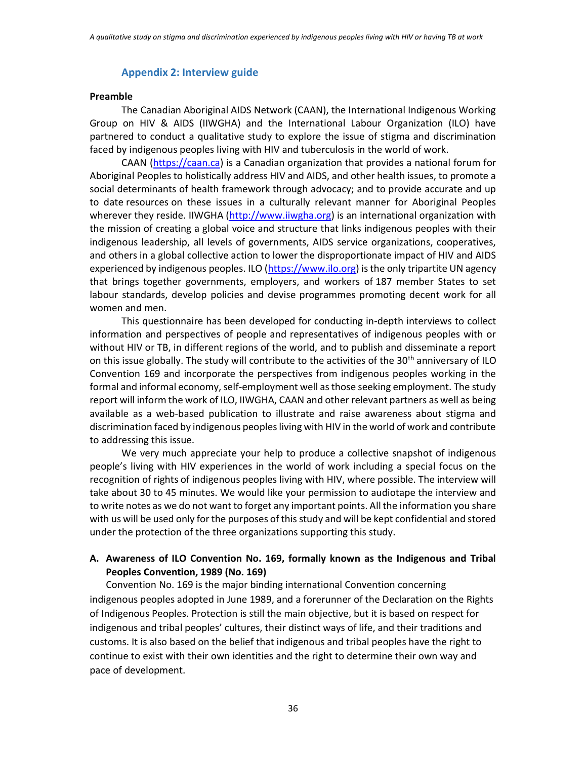#### Appendix 2: Interview guide

#### Preamble

The Canadian Aboriginal AIDS Network (CAAN), the International Indigenous Working Group on HIV & AIDS (IIWGHA) and the International Labour Organization (ILO) have partnered to conduct a qualitative study to explore the issue of stigma and discrimination faced by indigenous peoples living with HIV and tuberculosis in the world of work.

CAAN (https://caan.ca) is a Canadian organization that provides a national forum for Aboriginal Peoples to holistically address HIV and AIDS, and other health issues, to promote a social determinants of health framework through advocacy; and to provide accurate and up to date resources on these issues in a culturally relevant manner for Aboriginal Peoples wherever they reside. IIWGHA (http://www.iiwgha.org) is an international organization with the mission of creating a global voice and structure that links indigenous peoples with their indigenous leadership, all levels of governments, AIDS service organizations, cooperatives, and others in a global collective action to lower the disproportionate impact of HIV and AIDS experienced by indigenous peoples. ILO (https://www.ilo.org) is the only tripartite UN agency that brings together governments, employers, and workers of 187 member States to set labour standards, develop policies and devise programmes promoting decent work for all women and men.

This questionnaire has been developed for conducting in-depth interviews to collect information and perspectives of people and representatives of indigenous peoples with or without HIV or TB, in different regions of the world, and to publish and disseminate a report on this issue globally. The study will contribute to the activities of the 30<sup>th</sup> anniversary of ILO Convention 169 and incorporate the perspectives from indigenous peoples working in the formal and informal economy, self-employment well as those seeking employment. The study report will inform the work of ILO, IIWGHA, CAAN and other relevant partners as well as being available as a web-based publication to illustrate and raise awareness about stigma and discrimination faced by indigenous peoples living with HIV in the world of work and contribute to addressing this issue.

We very much appreciate your help to produce a collective snapshot of indigenous people's living with HIV experiences in the world of work including a special focus on the recognition of rights of indigenous peoples living with HIV, where possible. The interview will take about 30 to 45 minutes. We would like your permission to audiotape the interview and to write notes as we do not want to forget any important points. All the information you share with us will be used only for the purposes of this study and will be kept confidential and stored under the protection of the three organizations supporting this study.

### A. Awareness of ILO Convention No. 169, formally known as the Indigenous and Tribal Peoples Convention, 1989 (No. 169)

Convention No. 169 is the major binding international Convention concerning indigenous peoples adopted in June 1989, and a forerunner of the Declaration on the Rights of Indigenous Peoples. Protection is still the main objective, but it is based on respect for indigenous and tribal peoples' cultures, their distinct ways of life, and their traditions and customs. It is also based on the belief that indigenous and tribal peoples have the right to continue to exist with their own identities and the right to determine their own way and pace of development.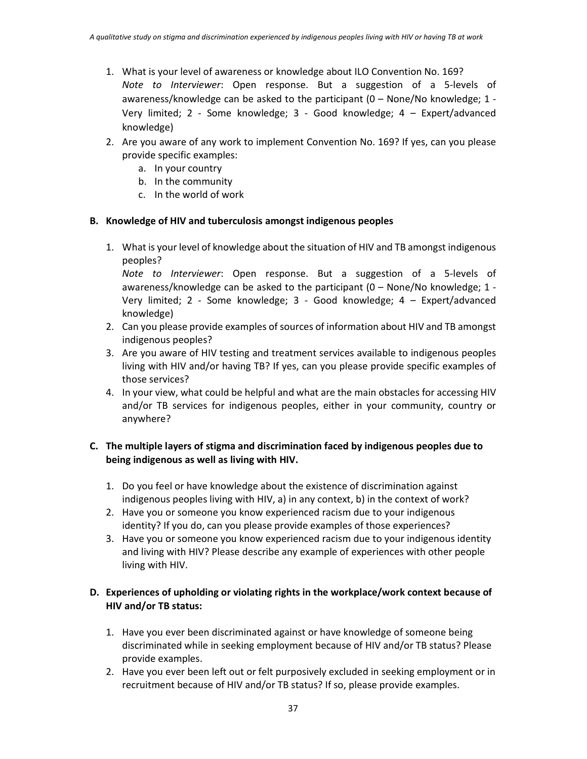- 1. What is your level of awareness or knowledge about ILO Convention No. 169? Note to Interviewer: Open response. But a suggestion of a 5-levels of awareness/knowledge can be asked to the participant (0 – None/No knowledge; 1 - Very limited; 2 - Some knowledge; 3 - Good knowledge; 4 – Expert/advanced knowledge)
- 2. Are you aware of any work to implement Convention No. 169? If yes, can you please provide specific examples:
	- a. In your country
	- b. In the community
	- c. In the world of work

### B. Knowledge of HIV and tuberculosis amongst indigenous peoples

1. What is your level of knowledge about the situation of HIV and TB amongst indigenous peoples?

Note to Interviewer: Open response. But a suggestion of a 5-levels of awareness/knowledge can be asked to the participant (0 – None/No knowledge; 1 - Very limited; 2 - Some knowledge; 3 - Good knowledge; 4 – Expert/advanced knowledge)

- 2. Can you please provide examples of sources of information about HIV and TB amongst indigenous peoples?
- 3. Are you aware of HIV testing and treatment services available to indigenous peoples living with HIV and/or having TB? If yes, can you please provide specific examples of those services?
- 4. In your view, what could be helpful and what are the main obstacles for accessing HIV and/or TB services for indigenous peoples, either in your community, country or anywhere?

### C. The multiple layers of stigma and discrimination faced by indigenous peoples due to being indigenous as well as living with HIV.

- 1. Do you feel or have knowledge about the existence of discrimination against indigenous peoples living with HIV, a) in any context, b) in the context of work?
- 2. Have you or someone you know experienced racism due to your indigenous identity? If you do, can you please provide examples of those experiences?
- 3. Have you or someone you know experienced racism due to your indigenous identity and living with HIV? Please describe any example of experiences with other people living with HIV.

### D. Experiences of upholding or violating rights in the workplace/work context because of HIV and/or TB status:

- 1. Have you ever been discriminated against or have knowledge of someone being discriminated while in seeking employment because of HIV and/or TB status? Please provide examples.
- 2. Have you ever been left out or felt purposively excluded in seeking employment or in recruitment because of HIV and/or TB status? If so, please provide examples.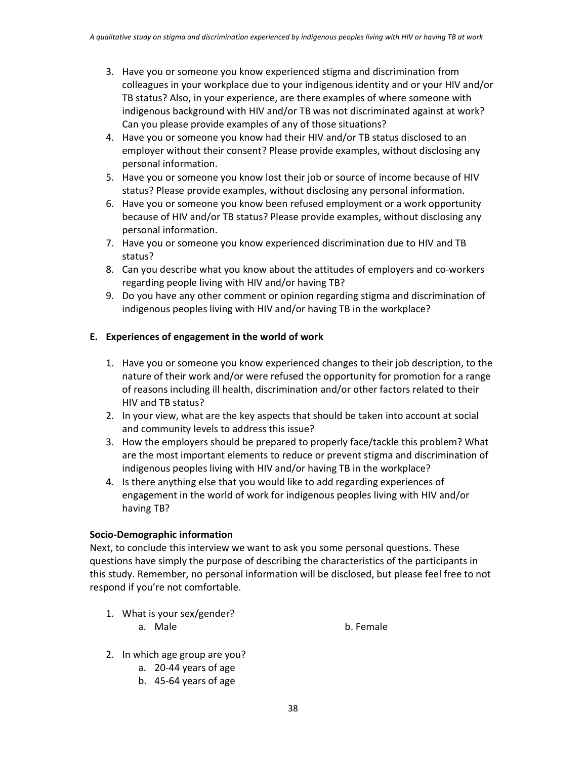- 3. Have you or someone you know experienced stigma and discrimination from colleagues in your workplace due to your indigenous identity and or your HIV and/or TB status? Also, in your experience, are there examples of where someone with indigenous background with HIV and/or TB was not discriminated against at work? Can you please provide examples of any of those situations?
- 4. Have you or someone you know had their HIV and/or TB status disclosed to an employer without their consent? Please provide examples, without disclosing any personal information.
- 5. Have you or someone you know lost their job or source of income because of HIV status? Please provide examples, without disclosing any personal information.
- 6. Have you or someone you know been refused employment or a work opportunity because of HIV and/or TB status? Please provide examples, without disclosing any personal information.
- 7. Have you or someone you know experienced discrimination due to HIV and TB status?
- 8. Can you describe what you know about the attitudes of employers and co-workers regarding people living with HIV and/or having TB?
- 9. Do you have any other comment or opinion regarding stigma and discrimination of indigenous peoples living with HIV and/or having TB in the workplace?

### E. Experiences of engagement in the world of work

- 1. Have you or someone you know experienced changes to their job description, to the nature of their work and/or were refused the opportunity for promotion for a range of reasons including ill health, discrimination and/or other factors related to their HIV and TB status?
- 2. In your view, what are the key aspects that should be taken into account at social and community levels to address this issue?
- 3. How the employers should be prepared to properly face/tackle this problem? What are the most important elements to reduce or prevent stigma and discrimination of indigenous peoples living with HIV and/or having TB in the workplace?
- 4. Is there anything else that you would like to add regarding experiences of engagement in the world of work for indigenous peoples living with HIV and/or having TB?

### Socio-Demographic information

Next, to conclude this interview we want to ask you some personal questions. These questions have simply the purpose of describing the characteristics of the participants in this study. Remember, no personal information will be disclosed, but please feel free to not respond if you're not comfortable.

- 1. What is your sex/gender?
	-

a. Male b. Female

- 2. In which age group are you?
	- a. 20-44 years of age
	- b. 45-64 years of age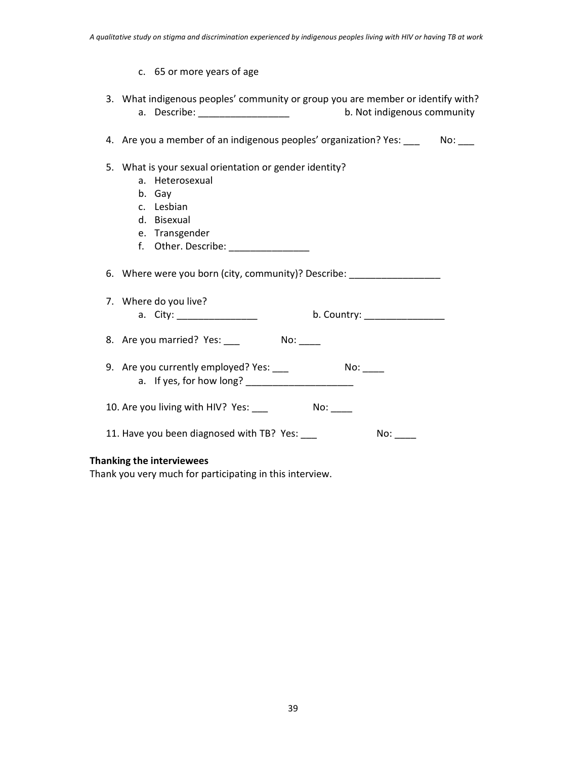- c. 65 or more years of age
- 3. What indigenous peoples' community or group you are member or identify with? a. Describe: \_\_\_\_\_\_\_\_\_\_\_\_\_\_\_\_\_ b. Not indigenous community
- 4. Are you a member of an indigenous peoples' organization? Yes: \_\_\_ No: \_\_\_
- 5. What is your sexual orientation or gender identity?
	- a. Heterosexual
	- b. Gay
	- c. Lesbian
	- d. Bisexual
	- e. Transgender
	- f. Other. Describe: \_\_\_\_\_\_\_\_\_\_\_\_\_\_\_

6. Where were you born (city, community)? Describe: \_\_\_\_\_\_\_\_\_\_\_\_\_\_\_\_\_\_\_\_\_\_\_\_\_\_\_\_

- 7. Where do you live? a. City: \_\_\_\_\_\_\_\_\_\_\_\_\_\_\_\_\_\_\_\_\_\_\_\_ b. Country: \_\_\_\_\_\_\_\_\_\_\_\_\_\_\_\_\_\_\_\_\_\_\_\_\_\_\_\_\_\_\_\_\_\_
- 8. Are you married? Yes: No:
- 9. Are you currently employed? Yes: \_\_\_\_ No: \_\_\_\_ a. If yes, for how long? \_\_\_\_\_\_\_\_\_\_\_\_\_\_\_\_\_\_\_\_
- 10. Are you living with HIV? Yes: No:
- 11. Have you been diagnosed with TB? Yes: \_\_\_ No: \_\_\_

#### Thanking the interviewees

Thank you very much for participating in this interview.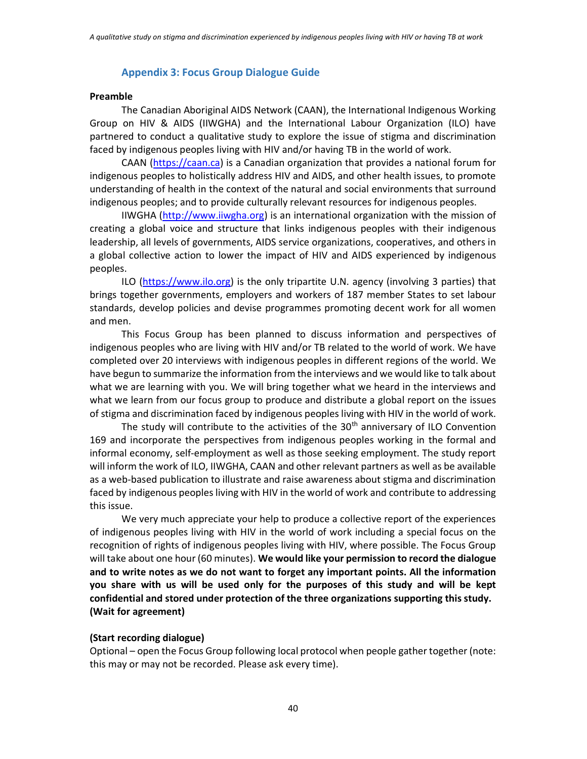#### Appendix 3: Focus Group Dialogue Guide

#### Preamble

The Canadian Aboriginal AIDS Network (CAAN), the International Indigenous Working Group on HIV & AIDS (IIWGHA) and the International Labour Organization (ILO) have partnered to conduct a qualitative study to explore the issue of stigma and discrimination faced by indigenous peoples living with HIV and/or having TB in the world of work.

CAAN (https://caan.ca) is a Canadian organization that provides a national forum for indigenous peoples to holistically address HIV and AIDS, and other health issues, to promote understanding of health in the context of the natural and social environments that surround indigenous peoples; and to provide culturally relevant resources for indigenous peoples.

IIWGHA (http://www.iiwgha.org) is an international organization with the mission of creating a global voice and structure that links indigenous peoples with their indigenous leadership, all levels of governments, AIDS service organizations, cooperatives, and others in a global collective action to lower the impact of HIV and AIDS experienced by indigenous peoples.

ILO (https://www.ilo.org) is the only tripartite U.N. agency (involving 3 parties) that brings together governments, employers and workers of 187 member States to set labour standards, develop policies and devise programmes promoting decent work for all women and men.

This Focus Group has been planned to discuss information and perspectives of indigenous peoples who are living with HIV and/or TB related to the world of work. We have completed over 20 interviews with indigenous peoples in different regions of the world. We have begun to summarize the information from the interviews and we would like to talk about what we are learning with you. We will bring together what we heard in the interviews and what we learn from our focus group to produce and distribute a global report on the issues of stigma and discrimination faced by indigenous peoples living with HIV in the world of work.

The study will contribute to the activities of the  $30<sup>th</sup>$  anniversary of ILO Convention 169 and incorporate the perspectives from indigenous peoples working in the formal and informal economy, self-employment as well as those seeking employment. The study report will inform the work of ILO, IIWGHA, CAAN and other relevant partners as well as be available as a web-based publication to illustrate and raise awareness about stigma and discrimination faced by indigenous peoples living with HIV in the world of work and contribute to addressing this issue.

We very much appreciate your help to produce a collective report of the experiences of indigenous peoples living with HIV in the world of work including a special focus on the recognition of rights of indigenous peoples living with HIV, where possible. The Focus Group will take about one hour (60 minutes). We would like your permission to record the dialogue and to write notes as we do not want to forget any important points. All the information you share with us will be used only for the purposes of this study and will be kept confidential and stored under protection of the three organizations supporting this study. (Wait for agreement)

#### (Start recording dialogue)

Optional – open the Focus Group following local protocol when people gather together (note: this may or may not be recorded. Please ask every time).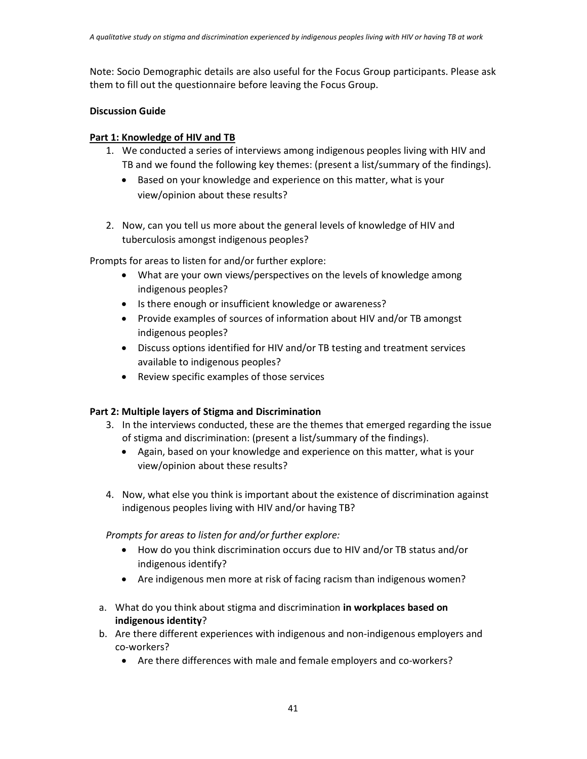Note: Socio Demographic details are also useful for the Focus Group participants. Please ask them to fill out the questionnaire before leaving the Focus Group.

### Discussion Guide

### Part 1: Knowledge of HIV and TB

- 1. We conducted a series of interviews among indigenous peoples living with HIV and TB and we found the following key themes: (present a list/summary of the findings).
	- Based on your knowledge and experience on this matter, what is your view/opinion about these results?
- 2. Now, can you tell us more about the general levels of knowledge of HIV and tuberculosis amongst indigenous peoples?

Prompts for areas to listen for and/or further explore:

- What are your own views/perspectives on the levels of knowledge among indigenous peoples?
- Is there enough or insufficient knowledge or awareness?
- Provide examples of sources of information about HIV and/or TB amongst indigenous peoples?
- Discuss options identified for HIV and/or TB testing and treatment services available to indigenous peoples?
- Review specific examples of those services

### Part 2: Multiple layers of Stigma and Discrimination

- 3. In the interviews conducted, these are the themes that emerged regarding the issue of stigma and discrimination: (present a list/summary of the findings).
	- Again, based on your knowledge and experience on this matter, what is your view/opinion about these results?
- 4. Now, what else you think is important about the existence of discrimination against indigenous peoples living with HIV and/or having TB?

Prompts for areas to listen for and/or further explore:

- How do you think discrimination occurs due to HIV and/or TB status and/or indigenous identify?
- Are indigenous men more at risk of facing racism than indigenous women?
- a. What do you think about stigma and discrimination in workplaces based on indigenous identity?
- b. Are there different experiences with indigenous and non-indigenous employers and co-workers?
	- Are there differences with male and female employers and co-workers?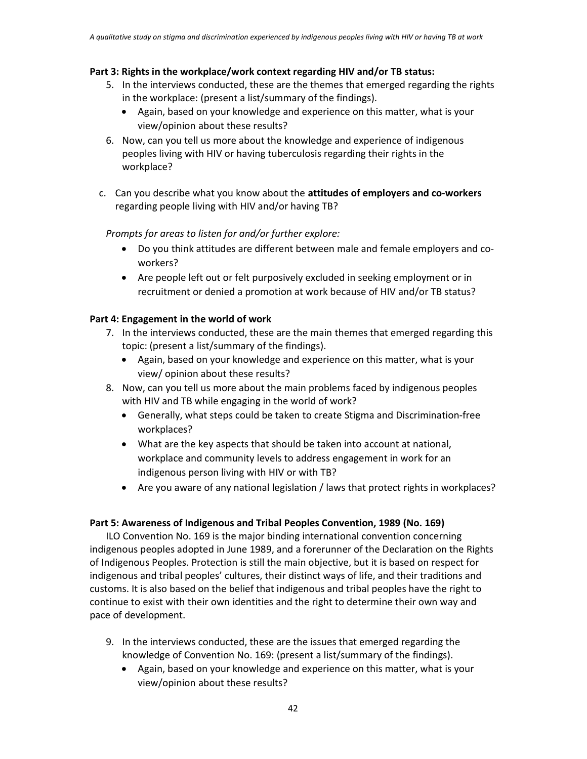### Part 3: Rights in the workplace/work context regarding HIV and/or TB status:

- 5. In the interviews conducted, these are the themes that emerged regarding the rights in the workplace: (present a list/summary of the findings).
	- Again, based on your knowledge and experience on this matter, what is your view/opinion about these results?
- 6. Now, can you tell us more about the knowledge and experience of indigenous peoples living with HIV or having tuberculosis regarding their rights in the workplace?
- c. Can you describe what you know about the attitudes of employers and co-workers regarding people living with HIV and/or having TB?

### Prompts for areas to listen for and/or further explore:

- Do you think attitudes are different between male and female employers and coworkers?
- Are people left out or felt purposively excluded in seeking employment or in recruitment or denied a promotion at work because of HIV and/or TB status?

### Part 4: Engagement in the world of work

- 7. In the interviews conducted, these are the main themes that emerged regarding this topic: (present a list/summary of the findings).
	- Again, based on your knowledge and experience on this matter, what is your view/ opinion about these results?
- 8. Now, can you tell us more about the main problems faced by indigenous peoples with HIV and TB while engaging in the world of work?
	- Generally, what steps could be taken to create Stigma and Discrimination-free workplaces?
	- What are the key aspects that should be taken into account at national, workplace and community levels to address engagement in work for an indigenous person living with HIV or with TB?
	- Are you aware of any national legislation / laws that protect rights in workplaces?

### Part 5: Awareness of Indigenous and Tribal Peoples Convention, 1989 (No. 169)

 ILO Convention No. 169 is the major binding international convention concerning indigenous peoples adopted in June 1989, and a forerunner of the Declaration on the Rights of Indigenous Peoples. Protection is still the main objective, but it is based on respect for indigenous and tribal peoples' cultures, their distinct ways of life, and their traditions and customs. It is also based on the belief that indigenous and tribal peoples have the right to continue to exist with their own identities and the right to determine their own way and pace of development.

- 9. In the interviews conducted, these are the issues that emerged regarding the knowledge of Convention No. 169: (present a list/summary of the findings).
	- Again, based on your knowledge and experience on this matter, what is your view/opinion about these results?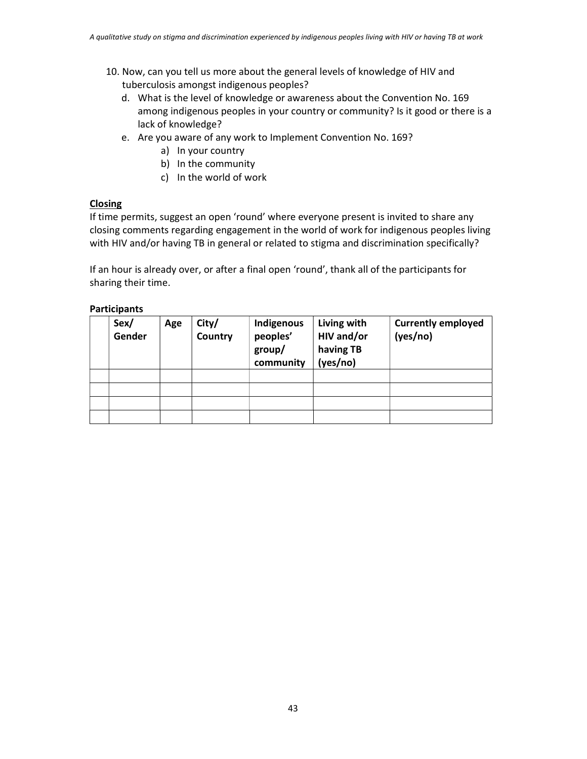- 10. Now, can you tell us more about the general levels of knowledge of HIV and tuberculosis amongst indigenous peoples?
	- d. What is the level of knowledge or awareness about the Convention No. 169 among indigenous peoples in your country or community? Is it good or there is a lack of knowledge?
	- e. Are you aware of any work to Implement Convention No. 169?
		- a) In your country
		- b) In the community
		- c) In the world of work

### **Closing**

If time permits, suggest an open 'round' where everyone present is invited to share any closing comments regarding engagement in the world of work for indigenous peoples living with HIV and/or having TB in general or related to stigma and discrimination specifically?

If an hour is already over, or after a final open 'round', thank all of the participants for sharing their time.

### **Participants**

| Sex/<br>Gender | Age | City/<br>Country | Indigenous<br>peoples'<br>group/<br>community | Living with<br>HIV and/or<br>having TB<br>(yes/no) | <b>Currently employed</b><br>(yes/no) |
|----------------|-----|------------------|-----------------------------------------------|----------------------------------------------------|---------------------------------------|
|                |     |                  |                                               |                                                    |                                       |
|                |     |                  |                                               |                                                    |                                       |
|                |     |                  |                                               |                                                    |                                       |
|                |     |                  |                                               |                                                    |                                       |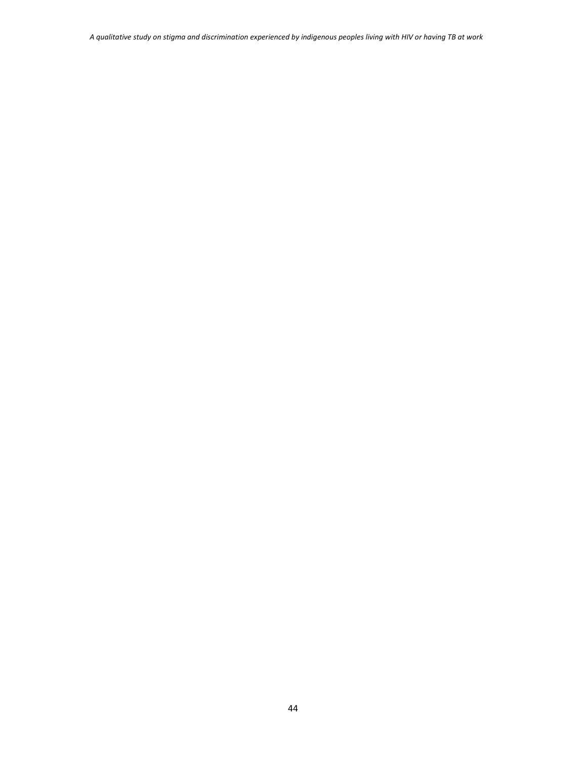A qualitative study on stigma and discrimination experienced by indigenous peoples living with HIV or having TB at work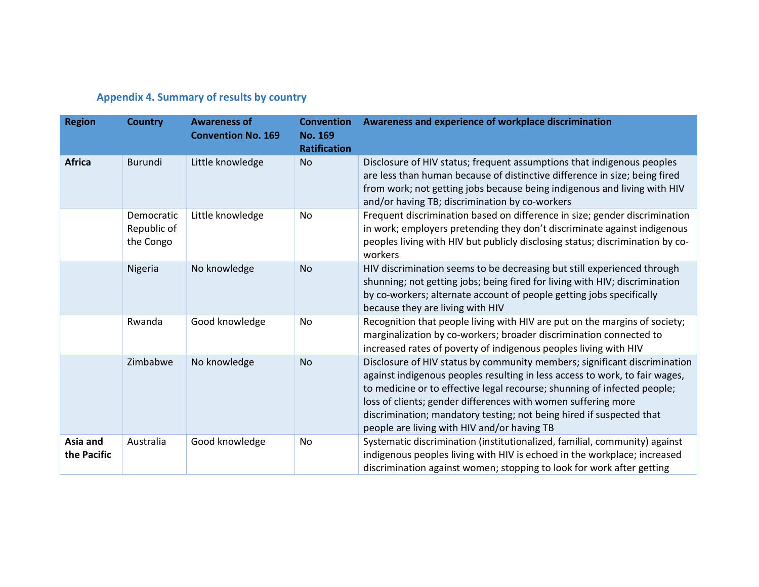## Appendix 4. Summary of results by country

| <b>Region</b>           | <b>Country</b>                         | <b>Awareness of</b><br><b>Convention No. 169</b> | <b>Convention</b><br><b>No. 169</b><br><b>Ratification</b> | Awareness and experience of workplace discrimination                                                                                                                                                                                                                                                                                                                                                                         |
|-------------------------|----------------------------------------|--------------------------------------------------|------------------------------------------------------------|------------------------------------------------------------------------------------------------------------------------------------------------------------------------------------------------------------------------------------------------------------------------------------------------------------------------------------------------------------------------------------------------------------------------------|
| <b>Africa</b>           | Burundi                                | Little knowledge                                 | <b>No</b>                                                  | Disclosure of HIV status; frequent assumptions that indigenous peoples<br>are less than human because of distinctive difference in size; being fired<br>from work; not getting jobs because being indigenous and living with HIV<br>and/or having TB; discrimination by co-workers                                                                                                                                           |
|                         | Democratic<br>Republic of<br>the Congo | Little knowledge                                 | No                                                         | Frequent discrimination based on difference in size; gender discrimination<br>in work; employers pretending they don't discriminate against indigenous<br>peoples living with HIV but publicly disclosing status; discrimination by co-<br>workers                                                                                                                                                                           |
|                         | Nigeria                                | No knowledge                                     | <b>No</b>                                                  | HIV discrimination seems to be decreasing but still experienced through<br>shunning; not getting jobs; being fired for living with HIV; discrimination<br>by co-workers; alternate account of people getting jobs specifically<br>because they are living with HIV                                                                                                                                                           |
|                         | Rwanda                                 | Good knowledge                                   | No                                                         | Recognition that people living with HIV are put on the margins of society;<br>marginalization by co-workers; broader discrimination connected to<br>increased rates of poverty of indigenous peoples living with HIV                                                                                                                                                                                                         |
|                         | Zimbabwe                               | No knowledge                                     | <b>No</b>                                                  | Disclosure of HIV status by community members; significant discrimination<br>against indigenous peoples resulting in less access to work, to fair wages,<br>to medicine or to effective legal recourse; shunning of infected people;<br>loss of clients; gender differences with women suffering more<br>discrimination; mandatory testing; not being hired if suspected that<br>people are living with HIV and/or having TB |
| Asia and<br>the Pacific | Australia                              | Good knowledge                                   | No                                                         | Systematic discrimination (institutionalized, familial, community) against<br>indigenous peoples living with HIV is echoed in the workplace; increased<br>discrimination against women; stopping to look for work after getting                                                                                                                                                                                              |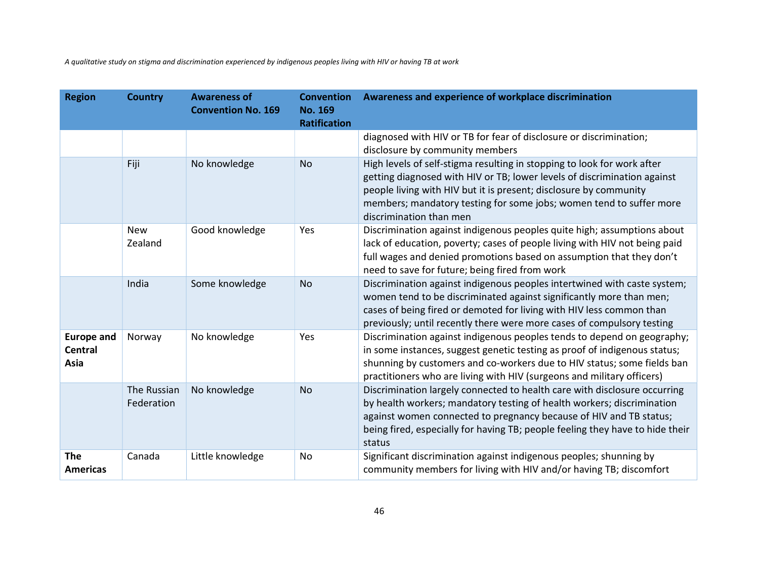A qualitative study on stigma and discrimination experienced by indigenous peoples living with HIV or having TB at work

| <b>Region</b>                               | <b>Country</b>            | <b>Awareness of</b><br><b>Convention No. 169</b> | <b>Convention</b><br><b>No. 169</b><br><b>Ratification</b> | Awareness and experience of workplace discrimination                                                                                                                                                                                                                                                                       |
|---------------------------------------------|---------------------------|--------------------------------------------------|------------------------------------------------------------|----------------------------------------------------------------------------------------------------------------------------------------------------------------------------------------------------------------------------------------------------------------------------------------------------------------------------|
|                                             |                           |                                                  |                                                            | diagnosed with HIV or TB for fear of disclosure or discrimination;<br>disclosure by community members                                                                                                                                                                                                                      |
|                                             | Fiji                      | No knowledge                                     | <b>No</b>                                                  | High levels of self-stigma resulting in stopping to look for work after<br>getting diagnosed with HIV or TB; lower levels of discrimination against<br>people living with HIV but it is present; disclosure by community<br>members; mandatory testing for some jobs; women tend to suffer more<br>discrimination than men |
|                                             | <b>New</b><br>Zealand     | Good knowledge                                   | Yes                                                        | Discrimination against indigenous peoples quite high; assumptions about<br>lack of education, poverty; cases of people living with HIV not being paid<br>full wages and denied promotions based on assumption that they don't<br>need to save for future; being fired from work                                            |
|                                             | India                     | Some knowledge                                   | <b>No</b>                                                  | Discrimination against indigenous peoples intertwined with caste system;<br>women tend to be discriminated against significantly more than men;<br>cases of being fired or demoted for living with HIV less common than<br>previously; until recently there were more cases of compulsory testing                          |
| <b>Europe and</b><br><b>Central</b><br>Asia | Norway                    | No knowledge                                     | Yes                                                        | Discrimination against indigenous peoples tends to depend on geography;<br>in some instances, suggest genetic testing as proof of indigenous status;<br>shunning by customers and co-workers due to HIV status; some fields ban<br>practitioners who are living with HIV (surgeons and military officers)                  |
|                                             | The Russian<br>Federation | No knowledge                                     | <b>No</b>                                                  | Discrimination largely connected to health care with disclosure occurring<br>by health workers; mandatory testing of health workers; discrimination<br>against women connected to pregnancy because of HIV and TB status;<br>being fired, especially for having TB; people feeling they have to hide their<br>status       |
| <b>The</b><br><b>Americas</b>               | Canada                    | Little knowledge                                 | No                                                         | Significant discrimination against indigenous peoples; shunning by<br>community members for living with HIV and/or having TB; discomfort                                                                                                                                                                                   |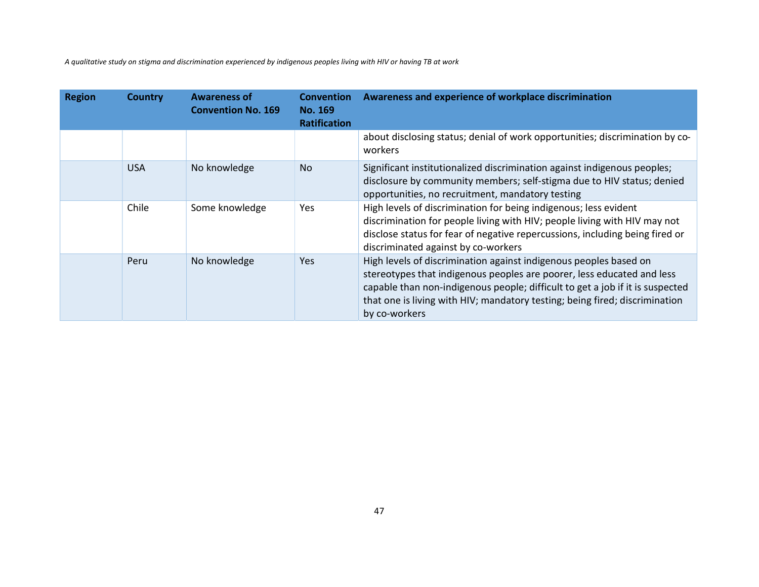A qualitative study on stigma and discrimination experienced by indigenous peoples living with HIV or having TB at work

| <b>Region</b> | <b>Country</b> | <b>Awareness of</b><br><b>Convention No. 169</b> | <b>Convention</b><br>No. 169<br><b>Ratification</b> | Awareness and experience of workplace discrimination                                                                                                                                                                                                                                                                         |
|---------------|----------------|--------------------------------------------------|-----------------------------------------------------|------------------------------------------------------------------------------------------------------------------------------------------------------------------------------------------------------------------------------------------------------------------------------------------------------------------------------|
|               |                |                                                  |                                                     | about disclosing status; denial of work opportunities; discrimination by co-<br>workers                                                                                                                                                                                                                                      |
|               | <b>USA</b>     | No knowledge                                     | <b>No</b>                                           | Significant institutionalized discrimination against indigenous peoples;<br>disclosure by community members; self-stigma due to HIV status; denied<br>opportunities, no recruitment, mandatory testing                                                                                                                       |
|               | Chile          | Some knowledge                                   | Yes                                                 | High levels of discrimination for being indigenous; less evident<br>discrimination for people living with HIV; people living with HIV may not<br>disclose status for fear of negative repercussions, including being fired or<br>discriminated against by co-workers                                                         |
|               | Peru           | No knowledge                                     | <b>Yes</b>                                          | High levels of discrimination against indigenous peoples based on<br>stereotypes that indigenous peoples are poorer, less educated and less<br>capable than non-indigenous people; difficult to get a job if it is suspected<br>that one is living with HIV; mandatory testing; being fired; discrimination<br>by co-workers |